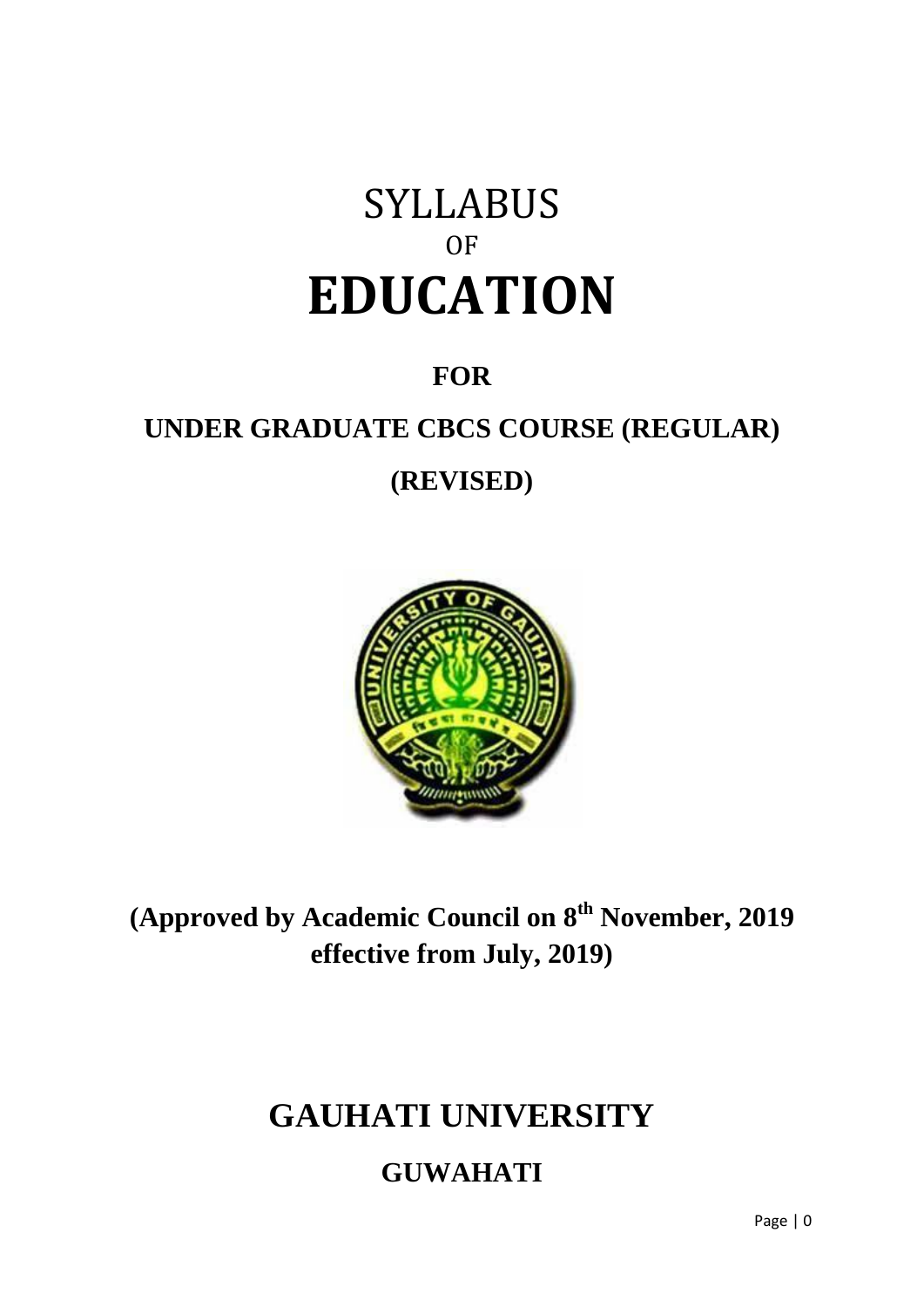# SYLLABUS OF **EDUCATION**

# **FOR**

# **UNDER GRADUATE CBCS COURSE (REGULAR)**

# **(REVISED)**



**(Approved by Academic Council on 8th November, 2019 effective from July, 2019)**

# **GAUHATI UNIVERSITY**

# **GUWAHATI**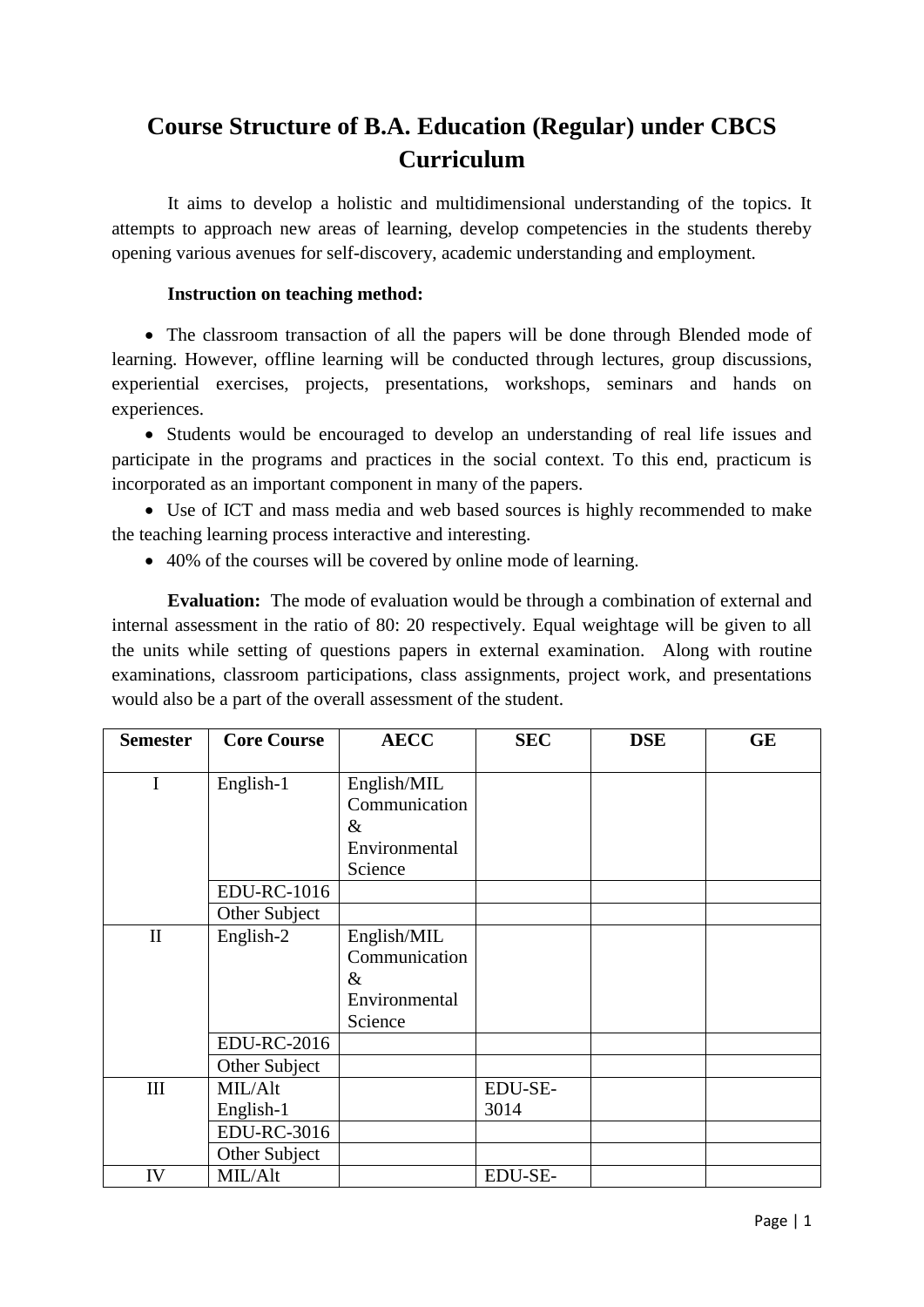# **Course Structure of B.A. Education (Regular) under CBCS Curriculum**

It aims to develop a holistic and multidimensional understanding of the topics. It attempts to approach new areas of learning, develop competencies in the students thereby opening various avenues for self-discovery, academic understanding and employment.

### **Instruction on teaching method:**

• The classroom transaction of all the papers will be done through Blended mode of learning. However, offline learning will be conducted through lectures, group discussions, experiential exercises, projects, presentations, workshops, seminars and hands on experiences.

 Students would be encouraged to develop an understanding of real life issues and participate in the programs and practices in the social context. To this end, practicum is incorporated as an important component in many of the papers.

 Use of ICT and mass media and web based sources is highly recommended to make the teaching learning process interactive and interesting.

40% of the courses will be covered by online mode of learning.

**Evaluation:** The mode of evaluation would be through a combination of external and internal assessment in the ratio of 80: 20 respectively. Equal weightage will be given to all the units while setting of questions papers in external examination. Along with routine examinations, classroom participations, class assignments, project work, and presentations would also be a part of the overall assessment of the student.

| <b>Semester</b> | <b>Core Course</b> | <b>AECC</b>   | <b>SEC</b> | <b>DSE</b> | <b>GE</b> |
|-----------------|--------------------|---------------|------------|------------|-----------|
|                 |                    |               |            |            |           |
| I               | English-1          | English/MIL   |            |            |           |
|                 |                    | Communication |            |            |           |
|                 |                    | $\&$          |            |            |           |
|                 |                    | Environmental |            |            |           |
|                 |                    | Science       |            |            |           |
|                 | <b>EDU-RC-1016</b> |               |            |            |           |
|                 | Other Subject      |               |            |            |           |
| $\mathbf{I}$    | English-2          | English/MIL   |            |            |           |
|                 |                    | Communication |            |            |           |
|                 |                    | $\&$          |            |            |           |
|                 |                    | Environmental |            |            |           |
|                 |                    | Science       |            |            |           |
|                 | <b>EDU-RC-2016</b> |               |            |            |           |
|                 | Other Subject      |               |            |            |           |
| III             | MIL/Alt            |               | EDU-SE-    |            |           |
|                 | English-1          |               | 3014       |            |           |
|                 | <b>EDU-RC-3016</b> |               |            |            |           |
|                 | Other Subject      |               |            |            |           |
| IV              | MIL/Alt            |               | EDU-SE-    |            |           |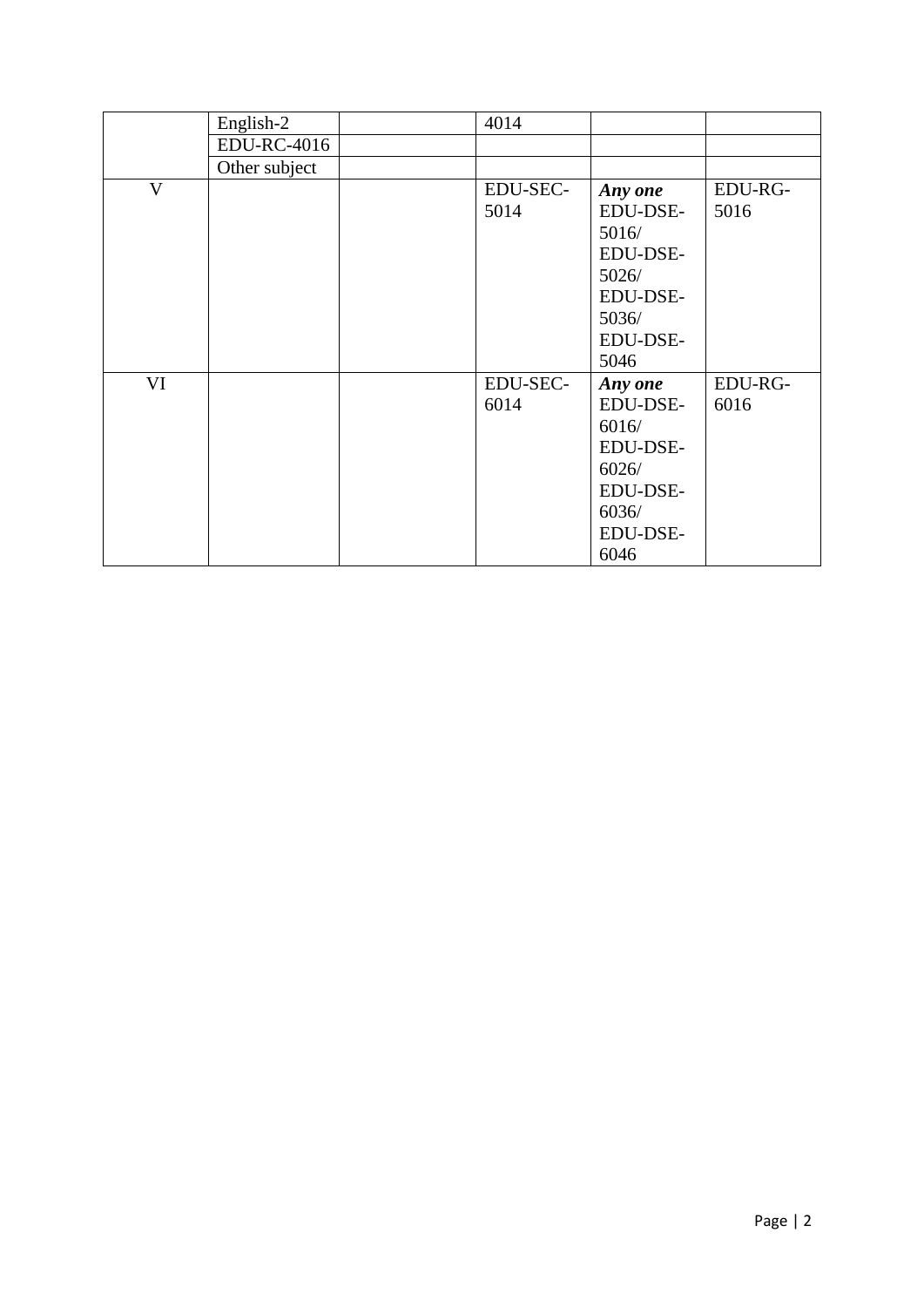|                         | English-2          | 4014     |          |         |
|-------------------------|--------------------|----------|----------|---------|
|                         | <b>EDU-RC-4016</b> |          |          |         |
|                         | Other subject      |          |          |         |
| $\overline{\mathsf{V}}$ |                    | EDU-SEC- | Any one  | EDU-RG- |
|                         |                    | 5014     | EDU-DSE- | 5016    |
|                         |                    |          | 5016/    |         |
|                         |                    |          | EDU-DSE- |         |
|                         |                    |          | 5026/    |         |
|                         |                    |          | EDU-DSE- |         |
|                         |                    |          | 5036/    |         |
|                         |                    |          | EDU-DSE- |         |
|                         |                    |          | 5046     |         |
| VI                      |                    | EDU-SEC- | Any one  | EDU-RG- |
|                         |                    | 6014     | EDU-DSE- | 6016    |
|                         |                    |          | 6016/    |         |
|                         |                    |          | EDU-DSE- |         |
|                         |                    |          | 6026/    |         |
|                         |                    |          | EDU-DSE- |         |
|                         |                    |          | 6036/    |         |
|                         |                    |          | EDU-DSE- |         |
|                         |                    |          | 6046     |         |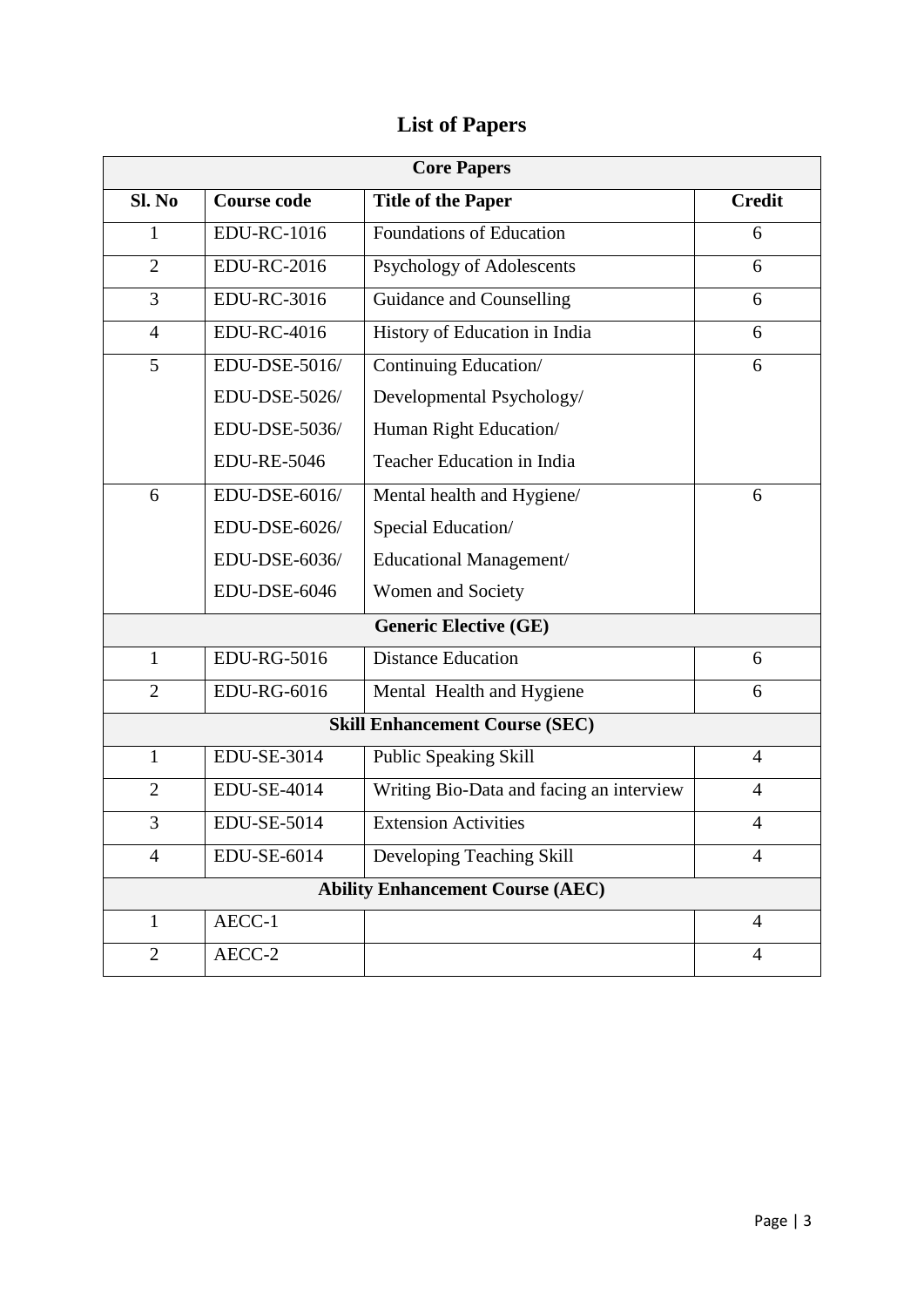## **List of Papers**

| <b>Core Papers</b>                    |                                         |                                          |                |  |  |
|---------------------------------------|-----------------------------------------|------------------------------------------|----------------|--|--|
| Sl. No                                | <b>Course code</b>                      | <b>Title of the Paper</b>                | <b>Credit</b>  |  |  |
| $\mathbf{1}$                          | <b>EDU-RC-1016</b>                      | <b>Foundations of Education</b>          | 6              |  |  |
| $\overline{2}$                        | <b>EDU-RC-2016</b>                      | Psychology of Adolescents                | 6              |  |  |
| 3                                     | <b>EDU-RC-3016</b>                      | <b>Guidance and Counselling</b>          | 6              |  |  |
| $\overline{4}$                        | <b>EDU-RC-4016</b>                      | History of Education in India            | 6              |  |  |
| 5                                     | EDU-DSE-5016/                           | Continuing Education/                    | 6              |  |  |
|                                       | EDU-DSE-5026/                           | Developmental Psychology/                |                |  |  |
|                                       | EDU-DSE-5036/                           | Human Right Education/                   |                |  |  |
|                                       | <b>EDU-RE-5046</b>                      | <b>Teacher Education in India</b>        |                |  |  |
| 6                                     | EDU-DSE-6016/                           | Mental health and Hygiene/               | 6              |  |  |
|                                       | EDU-DSE-6026/                           | Special Education/                       |                |  |  |
|                                       | EDU-DSE-6036/                           | Educational Management/                  |                |  |  |
|                                       | EDU-DSE-6046                            | Women and Society                        |                |  |  |
|                                       | <b>Generic Elective (GE)</b>            |                                          |                |  |  |
| $\mathbf{1}$                          | <b>EDU-RG-5016</b>                      | <b>Distance Education</b>                | 6              |  |  |
| $\overline{2}$                        | <b>EDU-RG-6016</b>                      | Mental Health and Hygiene                | 6              |  |  |
| <b>Skill Enhancement Course (SEC)</b> |                                         |                                          |                |  |  |
| $\mathbf{1}$                          | EDU-SE-3014                             | Public Speaking Skill                    | $\overline{4}$ |  |  |
| $\overline{2}$                        | <b>EDU-SE-4014</b>                      | Writing Bio-Data and facing an interview | $\overline{4}$ |  |  |
| 3                                     | <b>EDU-SE-5014</b>                      | <b>Extension Activities</b>              | $\overline{4}$ |  |  |
| 4                                     | EDU-SE-6014                             | Developing Teaching Skill                | 4              |  |  |
|                                       | <b>Ability Enhancement Course (AEC)</b> |                                          |                |  |  |
| $\mathbf{1}$                          | AECC-1                                  |                                          | 4              |  |  |
| $\overline{2}$                        | $AECC-2$                                |                                          | 4              |  |  |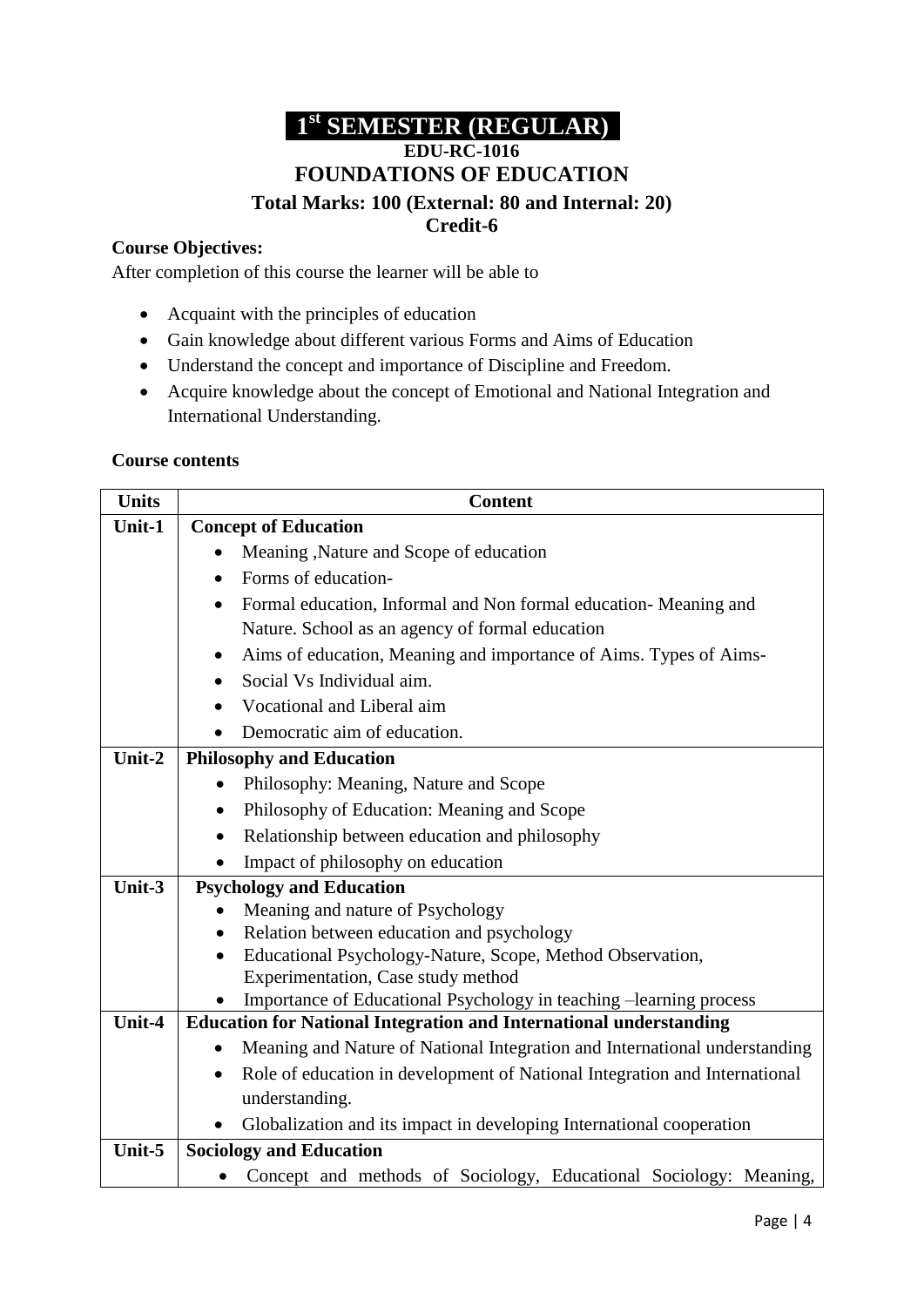## **1 st SEMESTER (REGULAR) EDU-RC-1016 FOUNDATIONS OF EDUCATION**

#### **Total Marks: 100 (External: 80 and Internal: 20) Credit-6**

### **Course Objectives:**

After completion of this course the learner will be able to

- Acquaint with the principles of education
- Gain knowledge about different various Forms and Aims of Education
- Understand the concept and importance of Discipline and Freedom.
- Acquire knowledge about the concept of Emotional and National Integration and International Understanding.

### **Course contents**

| <b>Units</b> | <b>Content</b>                                                                          |  |  |
|--------------|-----------------------------------------------------------------------------------------|--|--|
| Unit-1       | <b>Concept of Education</b>                                                             |  |  |
|              | Meaning , Nature and Scope of education<br>$\bullet$                                    |  |  |
|              | Forms of education-<br>$\bullet$                                                        |  |  |
|              | Formal education, Informal and Non formal education- Meaning and<br>$\bullet$           |  |  |
|              | Nature. School as an agency of formal education                                         |  |  |
|              | Aims of education, Meaning and importance of Aims. Types of Aims-<br>$\bullet$          |  |  |
|              | Social Vs Individual aim.<br>$\bullet$                                                  |  |  |
|              | Vocational and Liberal aim<br>$\bullet$                                                 |  |  |
|              | Democratic aim of education.<br>$\bullet$                                               |  |  |
| Unit-2       | <b>Philosophy and Education</b>                                                         |  |  |
|              | Philosophy: Meaning, Nature and Scope<br>$\bullet$                                      |  |  |
|              | Philosophy of Education: Meaning and Scope<br>$\bullet$                                 |  |  |
|              | Relationship between education and philosophy                                           |  |  |
|              | Impact of philosophy on education                                                       |  |  |
| Unit-3       | <b>Psychology and Education</b>                                                         |  |  |
|              | Meaning and nature of Psychology                                                        |  |  |
|              | Relation between education and psychology<br>$\bullet$                                  |  |  |
|              | Educational Psychology-Nature, Scope, Method Observation,                               |  |  |
|              | Experimentation, Case study method                                                      |  |  |
| Unit-4       | Importance of Educational Psychology in teaching -learning process                      |  |  |
|              | <b>Education for National Integration and International understanding</b>               |  |  |
|              | Meaning and Nature of National Integration and International understanding<br>$\bullet$ |  |  |
|              | Role of education in development of National Integration and International<br>$\bullet$ |  |  |
|              | understanding.                                                                          |  |  |
|              | Globalization and its impact in developing International cooperation                    |  |  |
| Unit-5       | <b>Sociology and Education</b>                                                          |  |  |
|              | Concept and methods of Sociology, Educational Sociology: Meaning,<br>٠                  |  |  |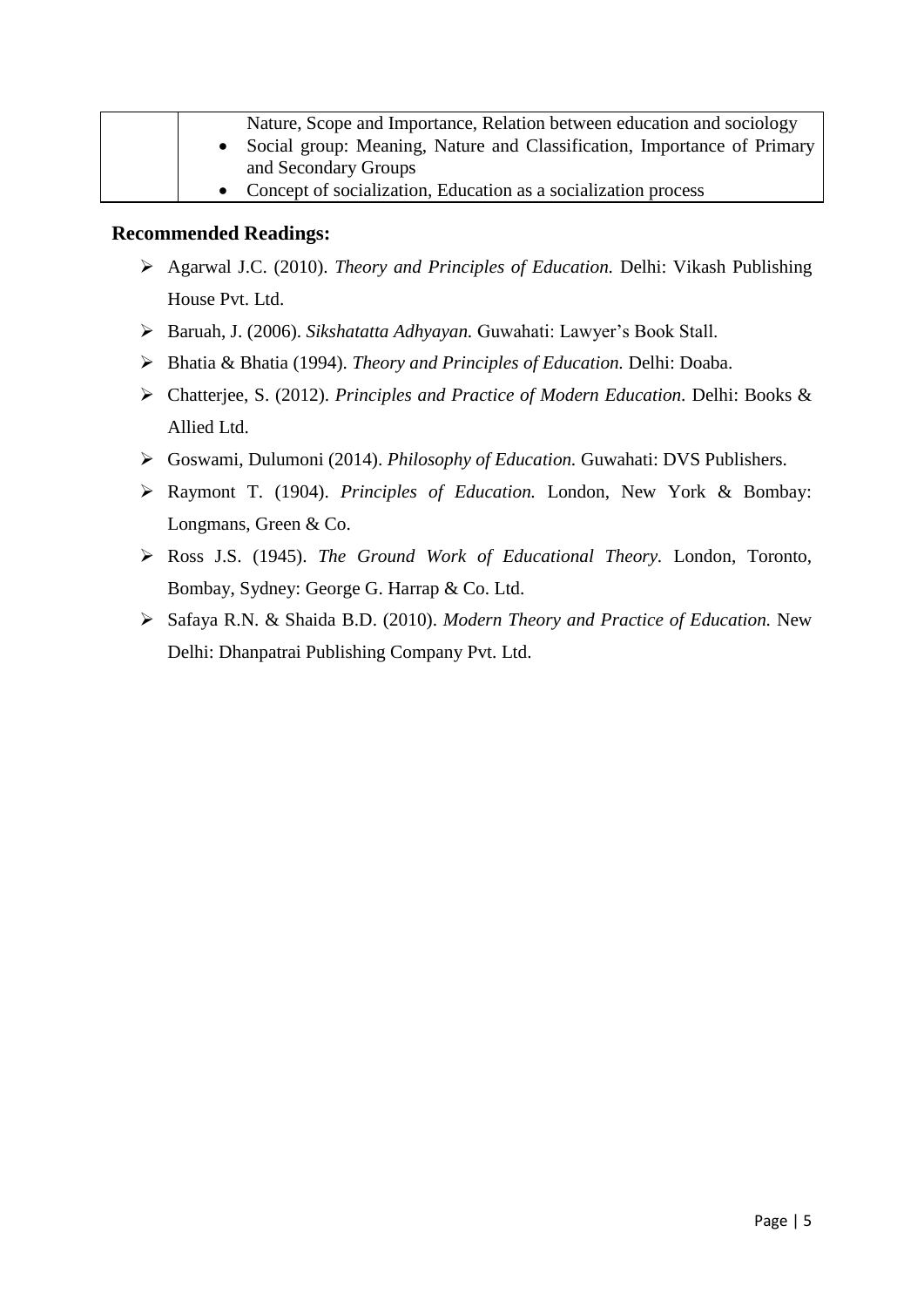| Nature, Scope and Importance, Relation between education and sociology    |  |  |
|---------------------------------------------------------------------------|--|--|
| • Social group: Meaning, Nature and Classification, Importance of Primary |  |  |
| and Secondary Groups                                                      |  |  |
| • Concept of socialization, Education as a socialization process          |  |  |

- Agarwal J.C. (2010). *Theory and Principles of Education.* Delhi: Vikash Publishing House Pvt. Ltd.
- Baruah, J. (2006). *Sikshatatta Adhyayan.* Guwahati: Lawyer's Book Stall.
- Bhatia & Bhatia (1994). *Theory and Principles of Education.* Delhi: Doaba.
- Chatterjee, S. (2012). *Principles and Practice of Modern Education.* Delhi: Books & Allied Ltd.
- Goswami, Dulumoni (2014). *Philosophy of Education.* Guwahati: DVS Publishers.
- Raymont T. (1904). *Principles of Education.* London, New York & Bombay: Longmans, Green & Co.
- Ross J.S. (1945). *The Ground Work of Educational Theory.* London, Toronto, Bombay, Sydney: George G. Harrap & Co. Ltd.
- Safaya R.N. & Shaida B.D. (2010). *Modern Theory and Practice of Education.* New Delhi: Dhanpatrai Publishing Company Pvt. Ltd.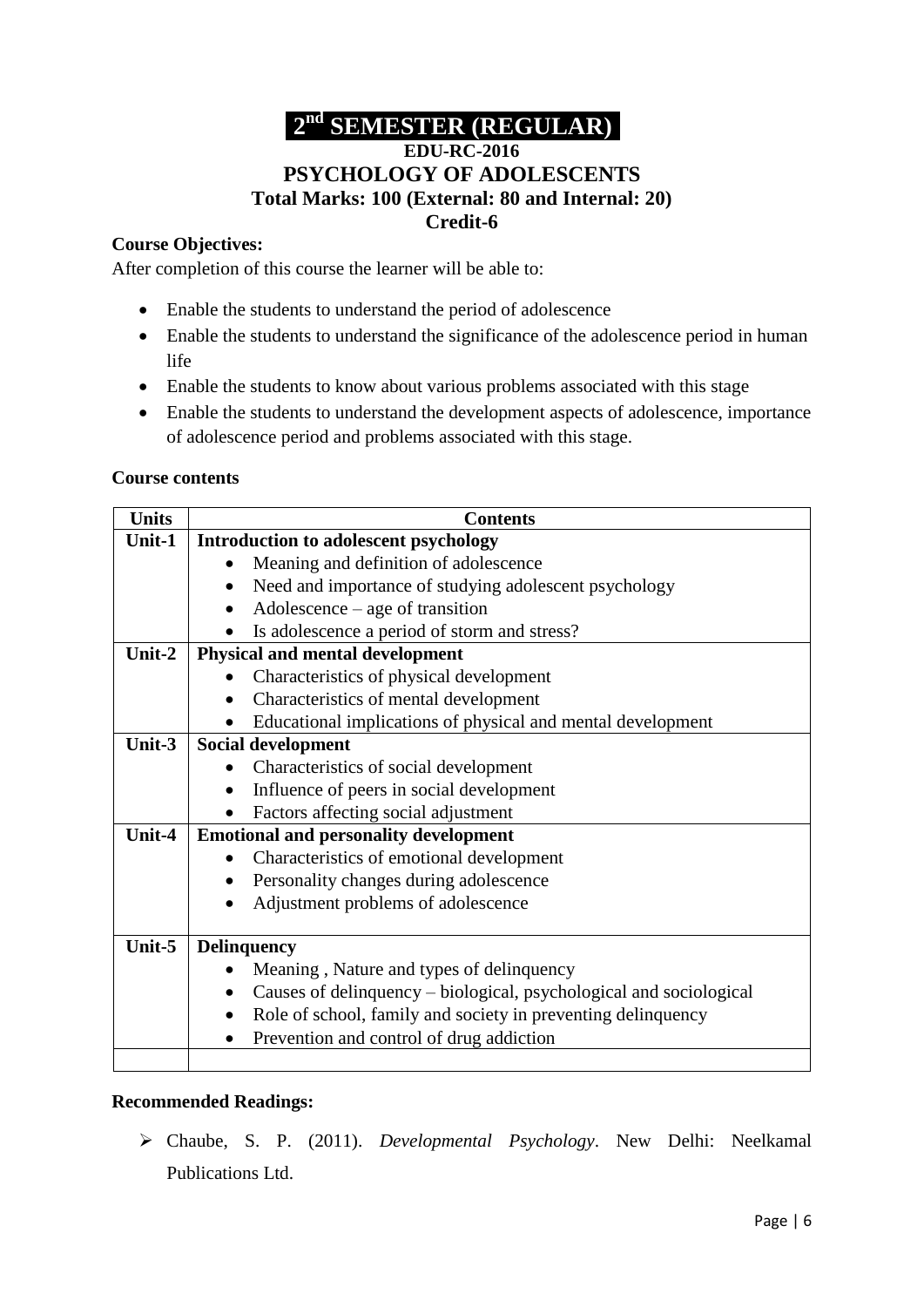### **2 nd SEMESTER (REGULAR) EDU-RC-2016**

### **PSYCHOLOGY OF ADOLESCENTS Total Marks: 100 (External: 80 and Internal: 20) Credit-6**

### **Course Objectives:**

After completion of this course the learner will be able to:

- Enable the students to understand the period of adolescence
- Enable the students to understand the significance of the adolescence period in human life
- Enable the students to know about various problems associated with this stage
- Enable the students to understand the development aspects of adolescence, importance of adolescence period and problems associated with this stage.

### **Course contents**

| <b>Units</b> | <b>Contents</b>                                                                 |
|--------------|---------------------------------------------------------------------------------|
| Unit-1       | Introduction to adolescent psychology                                           |
|              | Meaning and definition of adolescence<br>$\bullet$                              |
|              | Need and importance of studying adolescent psychology<br>$\bullet$              |
|              | $\text{Adolescence} - \text{age of transition}$<br>$\bullet$                    |
|              | Is adolescence a period of storm and stress?                                    |
| Unit-2       | <b>Physical and mental development</b>                                          |
|              | Characteristics of physical development                                         |
|              | Characteristics of mental development                                           |
|              | Educational implications of physical and mental development                     |
| Unit-3       | <b>Social development</b>                                                       |
|              | Characteristics of social development                                           |
|              | Influence of peers in social development                                        |
|              | Factors affecting social adjustment                                             |
| Unit-4       | <b>Emotional and personality development</b>                                    |
|              | Characteristics of emotional development                                        |
|              | Personality changes during adolescence                                          |
|              | Adjustment problems of adolescence                                              |
|              |                                                                                 |
| Unit-5       | <b>Delinquency</b>                                                              |
|              | Meaning, Nature and types of delinquency                                        |
|              | Causes of delinquency - biological, psychological and sociological<br>$\bullet$ |
|              | Role of school, family and society in preventing delinquency<br>$\bullet$       |
|              | Prevention and control of drug addiction                                        |
|              |                                                                                 |

### **Recommended Readings:**

 Chaube, S. P. (2011). *Developmental Psychology*. New Delhi: Neelkamal Publications Ltd.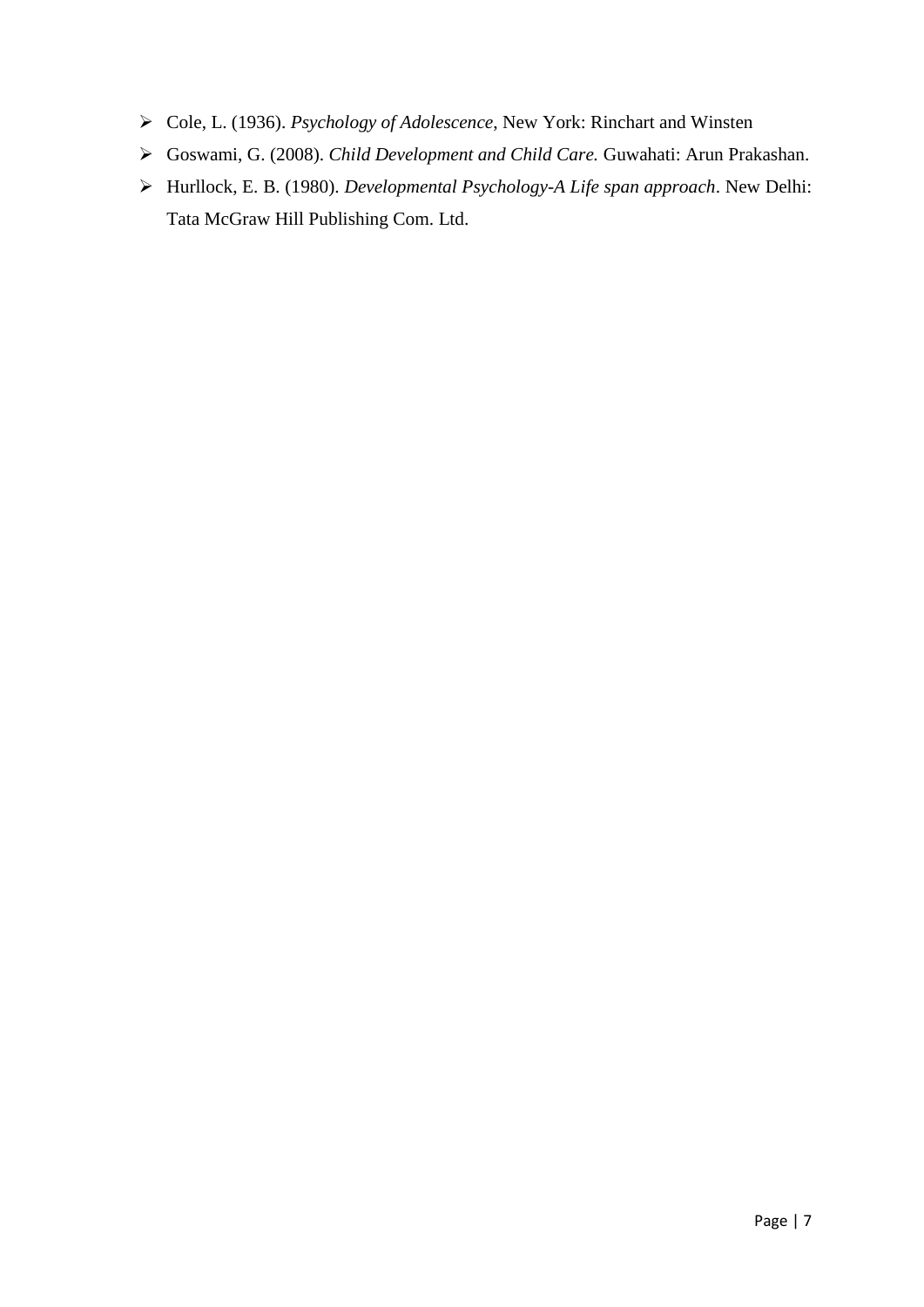- Cole, L. (1936). *Psychology of Adolescence*, New York: Rinchart and Winsten
- Goswami, G. (2008). *Child Development and Child Care.* Guwahati: Arun Prakashan.
- Hurllock, E. B. (1980). *Developmental Psychology-A Life span approach*. New Delhi: Tata McGraw Hill Publishing Com. Ltd.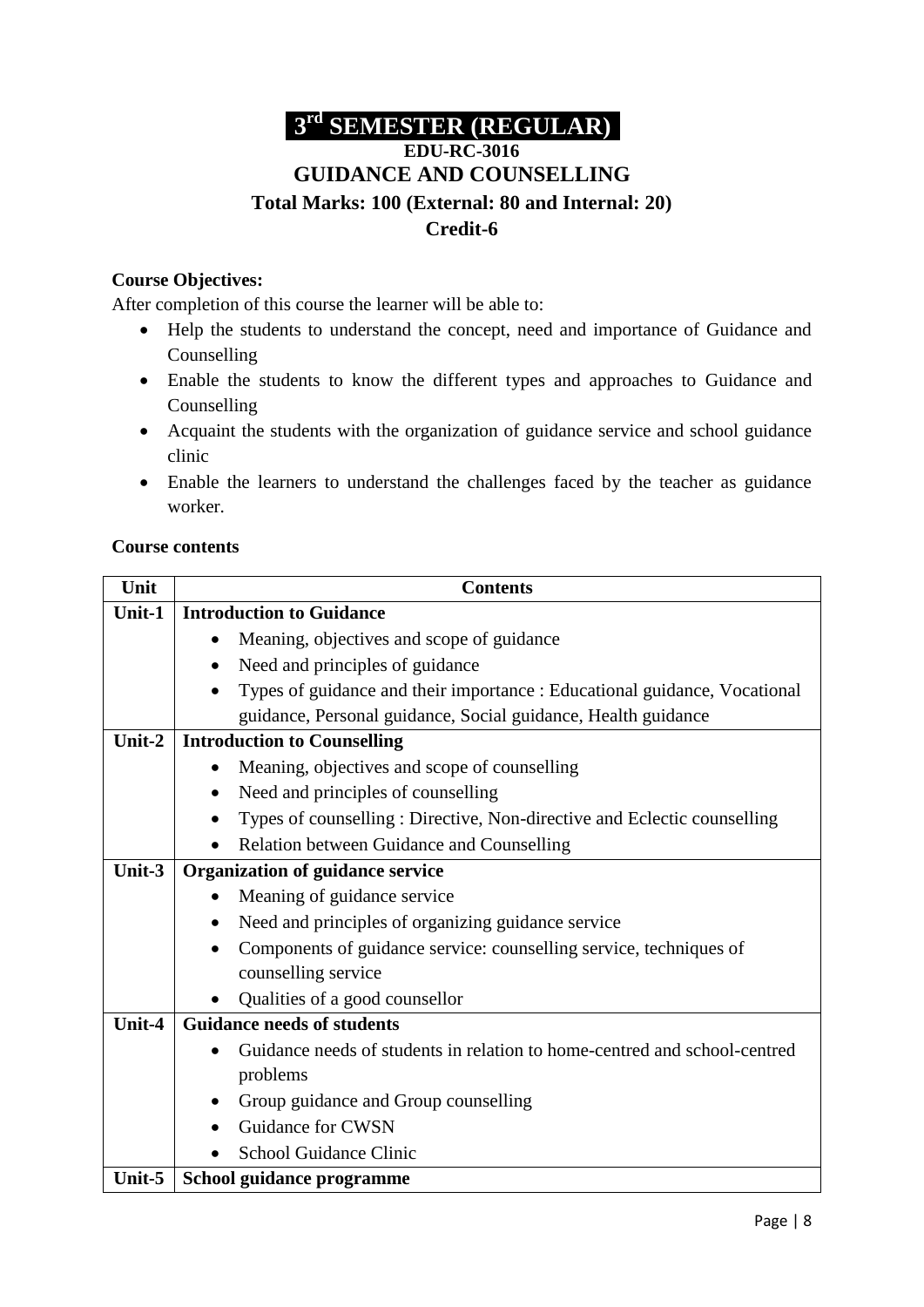# **3 rd SEMESTER (REGULAR)**

### **EDU-RC-3016 GUIDANCE AND COUNSELLING Total Marks: 100 (External: 80 and Internal: 20) Credit-6**

### **Course Objectives:**

After completion of this course the learner will be able to:

- Help the students to understand the concept, need and importance of Guidance and Counselling
- Enable the students to know the different types and approaches to Guidance and Counselling
- Acquaint the students with the organization of guidance service and school guidance clinic
- Enable the learners to understand the challenges faced by the teacher as guidance worker.

### **Course contents**

| Unit   |                                   | <b>Contents</b>                                                           |  |
|--------|-----------------------------------|---------------------------------------------------------------------------|--|
| Unit-1 |                                   | <b>Introduction to Guidance</b>                                           |  |
|        |                                   | Meaning, objectives and scope of guidance                                 |  |
|        | ٠                                 | Need and principles of guidance                                           |  |
|        |                                   | Types of guidance and their importance : Educational guidance, Vocational |  |
|        |                                   | guidance, Personal guidance, Social guidance, Health guidance             |  |
| Unit-2 |                                   | <b>Introduction to Counselling</b>                                        |  |
|        |                                   | Meaning, objectives and scope of counselling                              |  |
|        | $\bullet$                         | Need and principles of counselling                                        |  |
|        |                                   | Types of counselling: Directive, Non-directive and Eclectic counselling   |  |
|        |                                   | Relation between Guidance and Counselling                                 |  |
| Unit-3 | Organization of guidance service  |                                                                           |  |
|        |                                   | Meaning of guidance service                                               |  |
|        | $\bullet$                         | Need and principles of organizing guidance service                        |  |
|        |                                   | Components of guidance service: counselling service, techniques of        |  |
|        |                                   | counselling service                                                       |  |
|        |                                   | Qualities of a good counsellor                                            |  |
| Unit-4 | <b>Guidance needs of students</b> |                                                                           |  |
|        |                                   | Guidance needs of students in relation to home-centred and school-centred |  |
|        |                                   | problems                                                                  |  |
|        |                                   | Group guidance and Group counselling                                      |  |
|        |                                   | Guidance for CWSN                                                         |  |
|        |                                   | <b>School Guidance Clinic</b>                                             |  |
| Unit-5 |                                   | School guidance programme                                                 |  |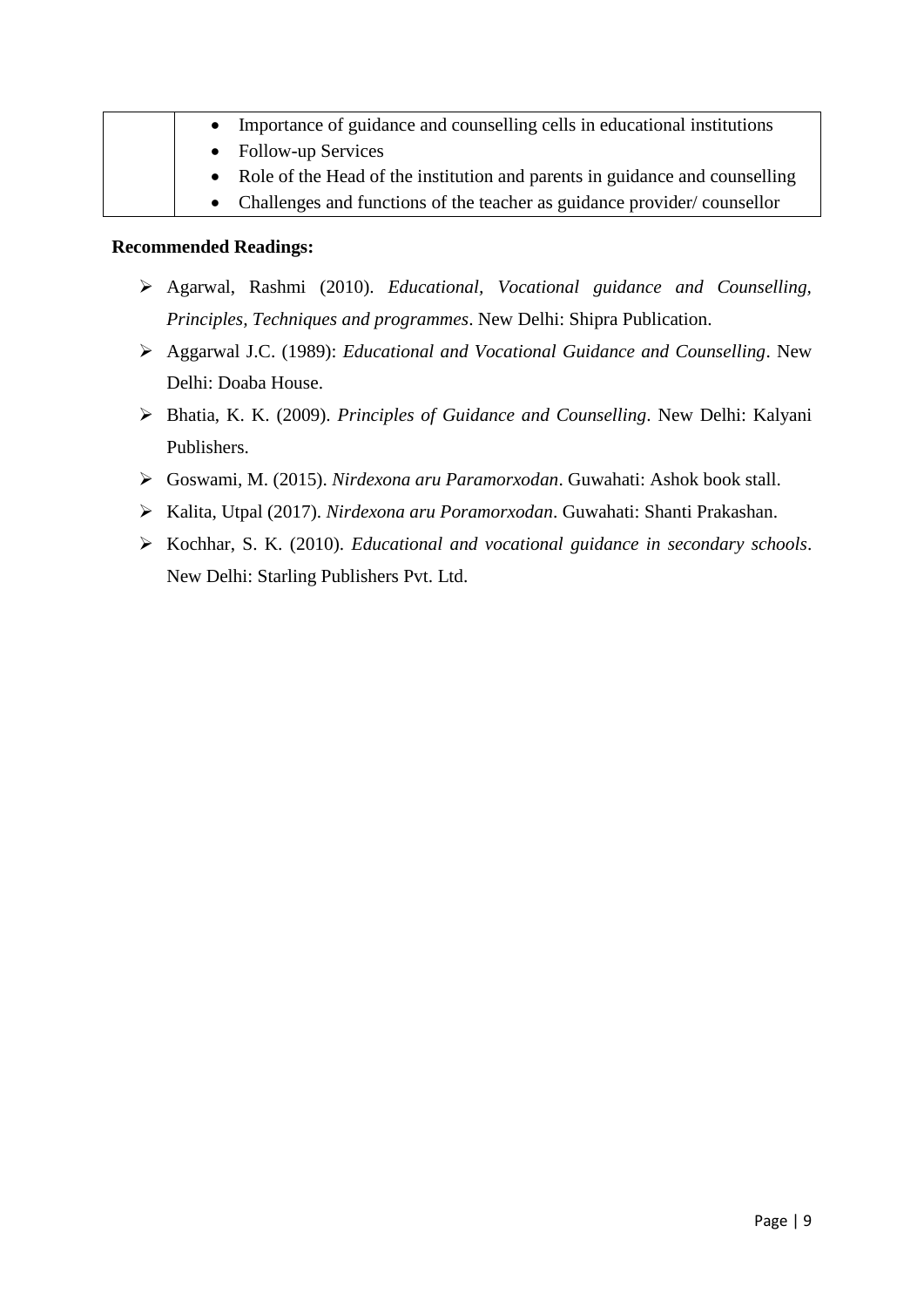|  | • Importance of guidance and counselling cells in educational institutions    |
|--|-------------------------------------------------------------------------------|
|  | • Follow-up Services                                                          |
|  | • Role of the Head of the institution and parents in guidance and counselling |
|  | • Challenges and functions of the teacher as guidance provider/counsellor     |

- Agarwal, Rashmi (2010). *Educational, Vocational guidance and Counselling, Principles, Techniques and programmes*. New Delhi: Shipra Publication.
- Aggarwal J.C. (1989): *Educational and Vocational Guidance and Counselling*. New Delhi: Doaba House.
- Bhatia, K. K. (2009). *Principles of Guidance and Counselling*. New Delhi: Kalyani Publishers.
- Goswami, M. (2015). *Nirdexona aru Paramorxodan*. Guwahati: Ashok book stall.
- Kalita, Utpal (2017). *Nirdexona aru Poramorxodan*. Guwahati: Shanti Prakashan.
- Kochhar, S. K. (2010). *Educational and vocational guidance in secondary schools*. New Delhi: Starling Publishers Pvt. Ltd.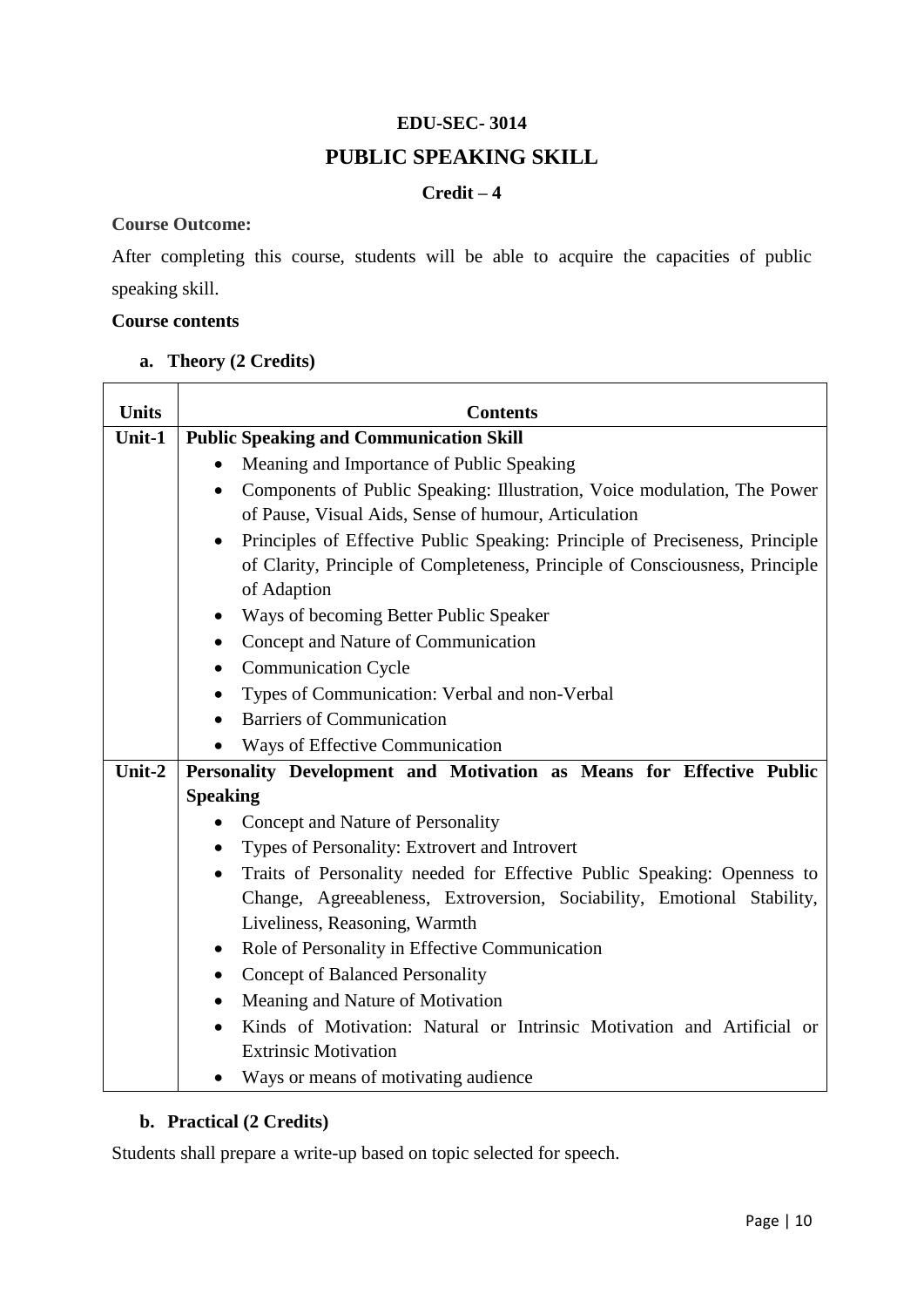### **EDU-SEC- 3014**

### **PUBLIC SPEAKING SKILL**

### **Credit – 4**

### **Course Outcome:**

After completing this course, students will be able to acquire the capacities of public speaking skill.

### **Course contents**

### **a. Theory (2 Credits)**

| <b>Units</b> | <b>Contents</b>                                                                           |  |  |
|--------------|-------------------------------------------------------------------------------------------|--|--|
| Unit-1       | <b>Public Speaking and Communication Skill</b>                                            |  |  |
|              | Meaning and Importance of Public Speaking                                                 |  |  |
|              | Components of Public Speaking: Illustration, Voice modulation, The Power<br>$\bullet$     |  |  |
|              | of Pause, Visual Aids, Sense of humour, Articulation                                      |  |  |
|              | Principles of Effective Public Speaking: Principle of Preciseness, Principle<br>$\bullet$ |  |  |
|              | of Clarity, Principle of Completeness, Principle of Consciousness, Principle              |  |  |
|              | of Adaption                                                                               |  |  |
|              | Ways of becoming Better Public Speaker<br>$\bullet$                                       |  |  |
|              | Concept and Nature of Communication<br>$\bullet$                                          |  |  |
|              | <b>Communication Cycle</b><br>$\bullet$                                                   |  |  |
|              | Types of Communication: Verbal and non-Verbal<br>٠                                        |  |  |
|              | <b>Barriers of Communication</b><br>$\bullet$                                             |  |  |
|              | Ways of Effective Communication                                                           |  |  |
| Unit-2       | Personality Development and Motivation as Means for Effective Public                      |  |  |
|              | <b>Speaking</b>                                                                           |  |  |
|              | Concept and Nature of Personality                                                         |  |  |
|              | Types of Personality: Extrovert and Introvert                                             |  |  |
|              | Traits of Personality needed for Effective Public Speaking: Openness to                   |  |  |
|              | Change, Agreeableness, Extroversion, Sociability, Emotional Stability,                    |  |  |
|              | Liveliness, Reasoning, Warmth                                                             |  |  |
|              | Role of Personality in Effective Communication<br>$\bullet$                               |  |  |
|              | <b>Concept of Balanced Personality</b><br>$\bullet$                                       |  |  |
|              | Meaning and Nature of Motivation<br>$\bullet$                                             |  |  |
|              | Kinds of Motivation: Natural or Intrinsic Motivation and Artificial or                    |  |  |
|              | <b>Extrinsic Motivation</b>                                                               |  |  |
|              | Ways or means of motivating audience                                                      |  |  |

### **b. Practical (2 Credits)**

Students shall prepare a write-up based on topic selected for speech.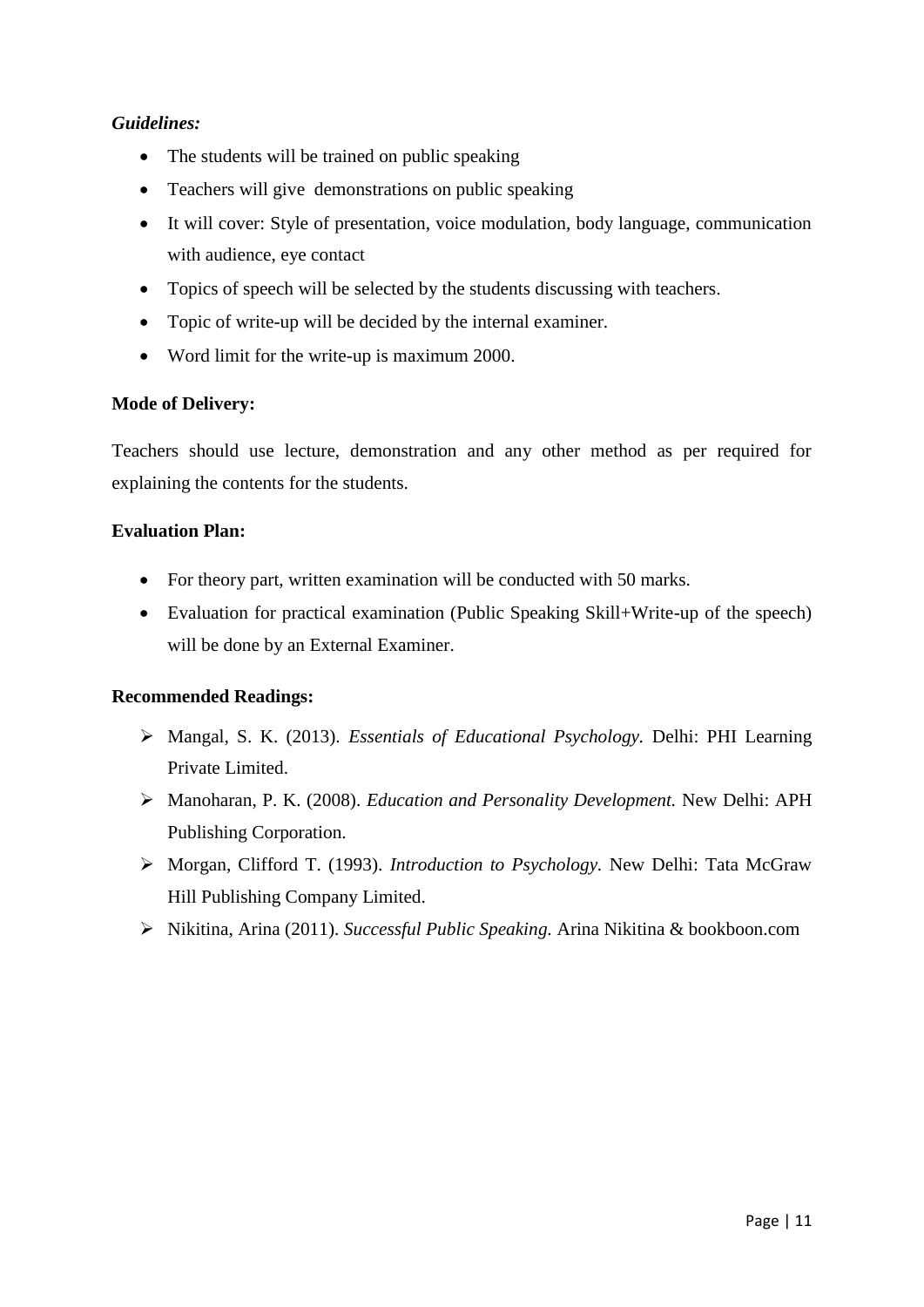### *Guidelines:*

- The students will be trained on public speaking
- Teachers will give demonstrations on public speaking
- It will cover: Style of presentation, voice modulation, body language, communication with audience, eye contact
- Topics of speech will be selected by the students discussing with teachers.
- Topic of write-up will be decided by the internal examiner.
- Word limit for the write-up is maximum 2000.

### **Mode of Delivery:**

Teachers should use lecture, demonstration and any other method as per required for explaining the contents for the students.

### **Evaluation Plan:**

- For theory part, written examination will be conducted with 50 marks.
- Evaluation for practical examination (Public Speaking Skill+Write-up of the speech) will be done by an External Examiner.

- Mangal, S. K. (2013). *Essentials of Educational Psychology.* Delhi: PHI Learning Private Limited.
- Manoharan, P. K. (2008). *Education and Personality Development.* New Delhi: APH Publishing Corporation.
- Morgan, Clifford T. (1993). *Introduction to Psychology.* New Delhi: Tata McGraw Hill Publishing Company Limited.
- Nikitina, Arina (2011). *Successful Public Speaking.* Arina Nikitina & bookboon.com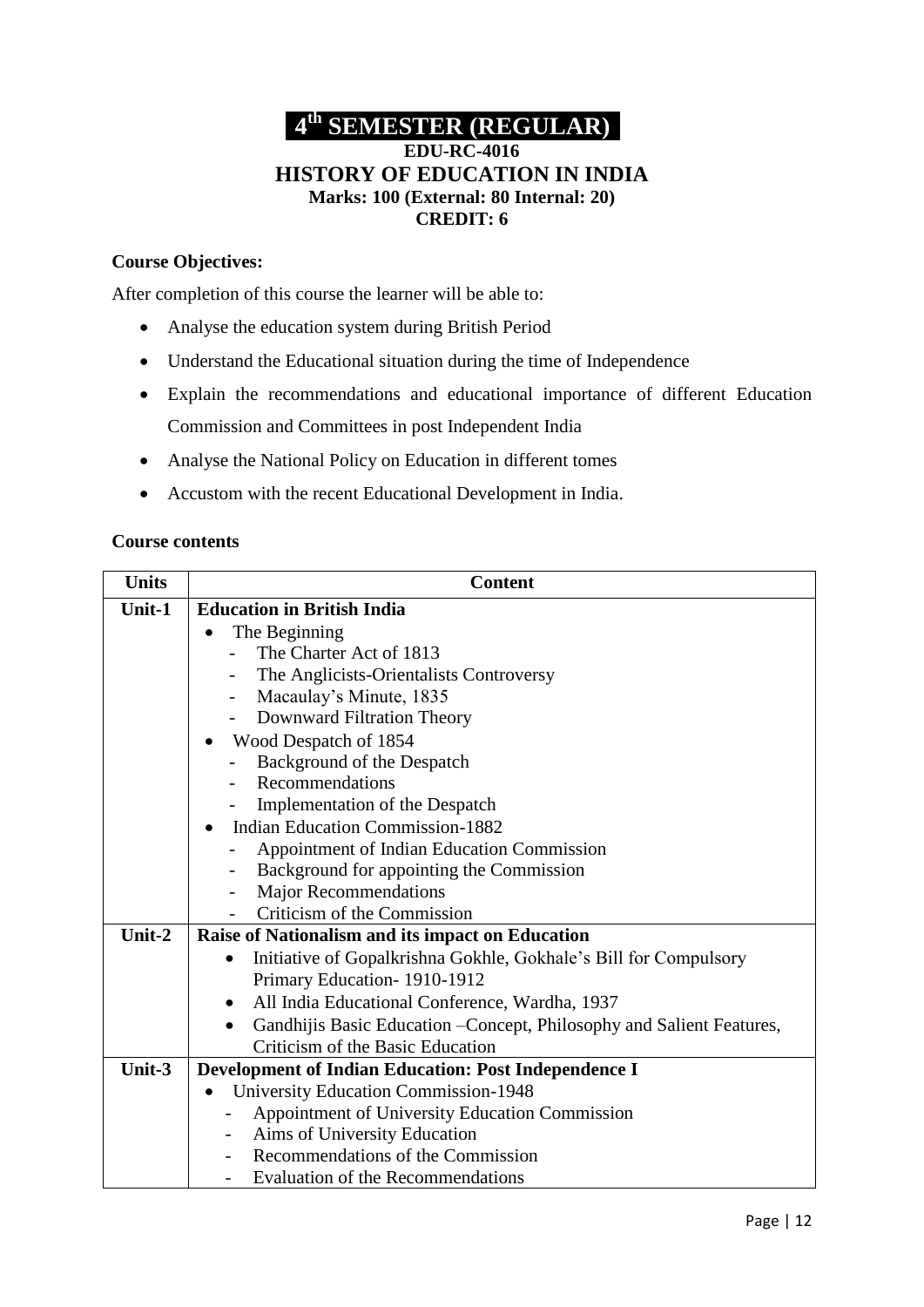### **4 th SEMESTER (REGULAR) EDU-RC-4016 HISTORY OF EDUCATION IN INDIA Marks: 100 (External: 80 Internal: 20)**

### **CREDIT: 6**

### **Course Objectives:**

After completion of this course the learner will be able to:

- Analyse the education system during British Period
- Understand the Educational situation during the time of Independence
- Explain the recommendations and educational importance of different Education Commission and Committees in post Independent India
- Analyse the National Policy on Education in different tomes
- Accustom with the recent Educational Development in India.

#### **Course contents**

| <b>Units</b> | <b>Content</b>                                                        |  |  |
|--------------|-----------------------------------------------------------------------|--|--|
| Unit-1       | <b>Education in British India</b>                                     |  |  |
|              | The Beginning                                                         |  |  |
|              | The Charter Act of 1813                                               |  |  |
|              | The Anglicists-Orientalists Controversy                               |  |  |
|              | Macaulay's Minute, 1835                                               |  |  |
|              | Downward Filtration Theory<br>$\overline{\phantom{0}}$                |  |  |
|              | Wood Despatch of 1854                                                 |  |  |
|              | Background of the Despatch                                            |  |  |
|              | Recommendations                                                       |  |  |
|              | Implementation of the Despatch                                        |  |  |
|              | <b>Indian Education Commission-1882</b>                               |  |  |
|              | Appointment of Indian Education Commission                            |  |  |
|              | Background for appointing the Commission                              |  |  |
|              | <b>Major Recommendations</b>                                          |  |  |
|              | Criticism of the Commission                                           |  |  |
| Unit-2       | Raise of Nationalism and its impact on Education                      |  |  |
|              | Initiative of Gopalkrishna Gokhle, Gokhale's Bill for Compulsory      |  |  |
|              | Primary Education-1910-1912                                           |  |  |
|              | All India Educational Conference, Wardha, 1937<br>$\bullet$           |  |  |
|              | Gandhijis Basic Education - Concept, Philosophy and Salient Features, |  |  |
|              | Criticism of the Basic Education                                      |  |  |
| Unit-3       | Development of Indian Education: Post Independence I                  |  |  |
|              | <b>University Education Commission-1948</b>                           |  |  |
|              | Appointment of University Education Commission                        |  |  |
|              | Aims of University Education                                          |  |  |
|              | Recommendations of the Commission                                     |  |  |
|              | Evaluation of the Recommendations                                     |  |  |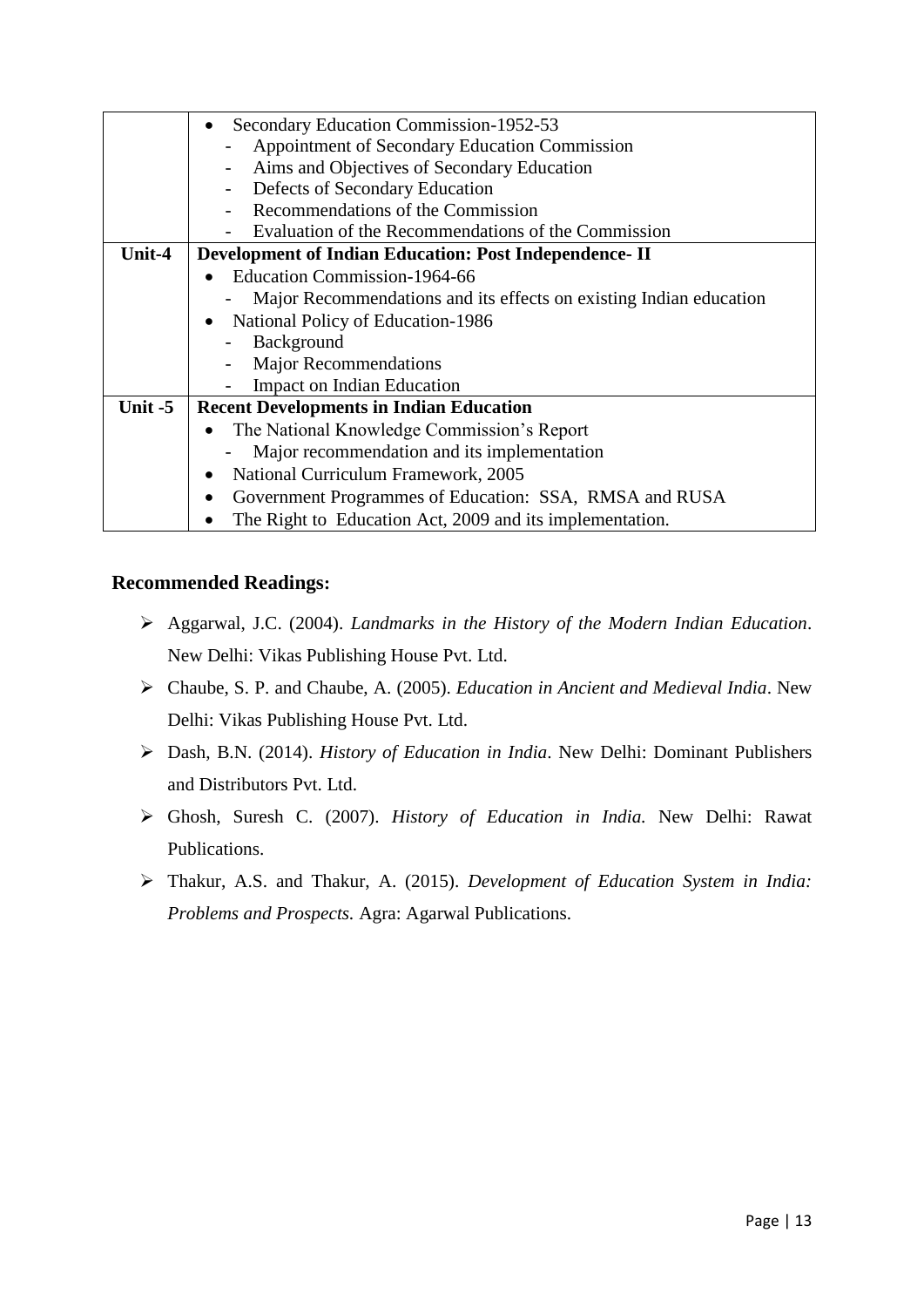|           | Secondary Education Commission-1952-53                             |
|-----------|--------------------------------------------------------------------|
|           | Appointment of Secondary Education Commission                      |
|           | Aims and Objectives of Secondary Education                         |
|           | Defects of Secondary Education                                     |
|           | Recommendations of the Commission                                  |
|           | Evaluation of the Recommendations of the Commission                |
| Unit-4    | <b>Development of Indian Education: Post Independence-II</b>       |
|           | Education Commission-1964-66                                       |
|           | Major Recommendations and its effects on existing Indian education |
|           | National Policy of Education-1986                                  |
|           | Background                                                         |
|           | <b>Major Recommendations</b>                                       |
|           | Impact on Indian Education                                         |
| Unit $-5$ | <b>Recent Developments in Indian Education</b>                     |
|           | The National Knowledge Commission's Report                         |
|           | Major recommendation and its implementation                        |
|           | National Curriculum Framework, 2005                                |
|           | Government Programmes of Education: SSA, RMSA and RUSA             |
|           | The Right to Education Act, 2009 and its implementation.           |

- Aggarwal, J.C. (2004). *Landmarks in the History of the Modern Indian Education*. New Delhi: Vikas Publishing House Pvt. Ltd.
- Chaube, S. P. and Chaube, A. (2005). *Education in Ancient and Medieval India*. New Delhi: Vikas Publishing House Pvt. Ltd.
- Dash, B.N. (2014). *History of Education in India*. New Delhi: Dominant Publishers and Distributors Pvt. Ltd.
- Ghosh, Suresh C. (2007). *History of Education in India.* New Delhi: Rawat Publications.
- Thakur, A.S. and Thakur, A. (2015). *Development of Education System in India: Problems and Prospects.* Agra: Agarwal Publications.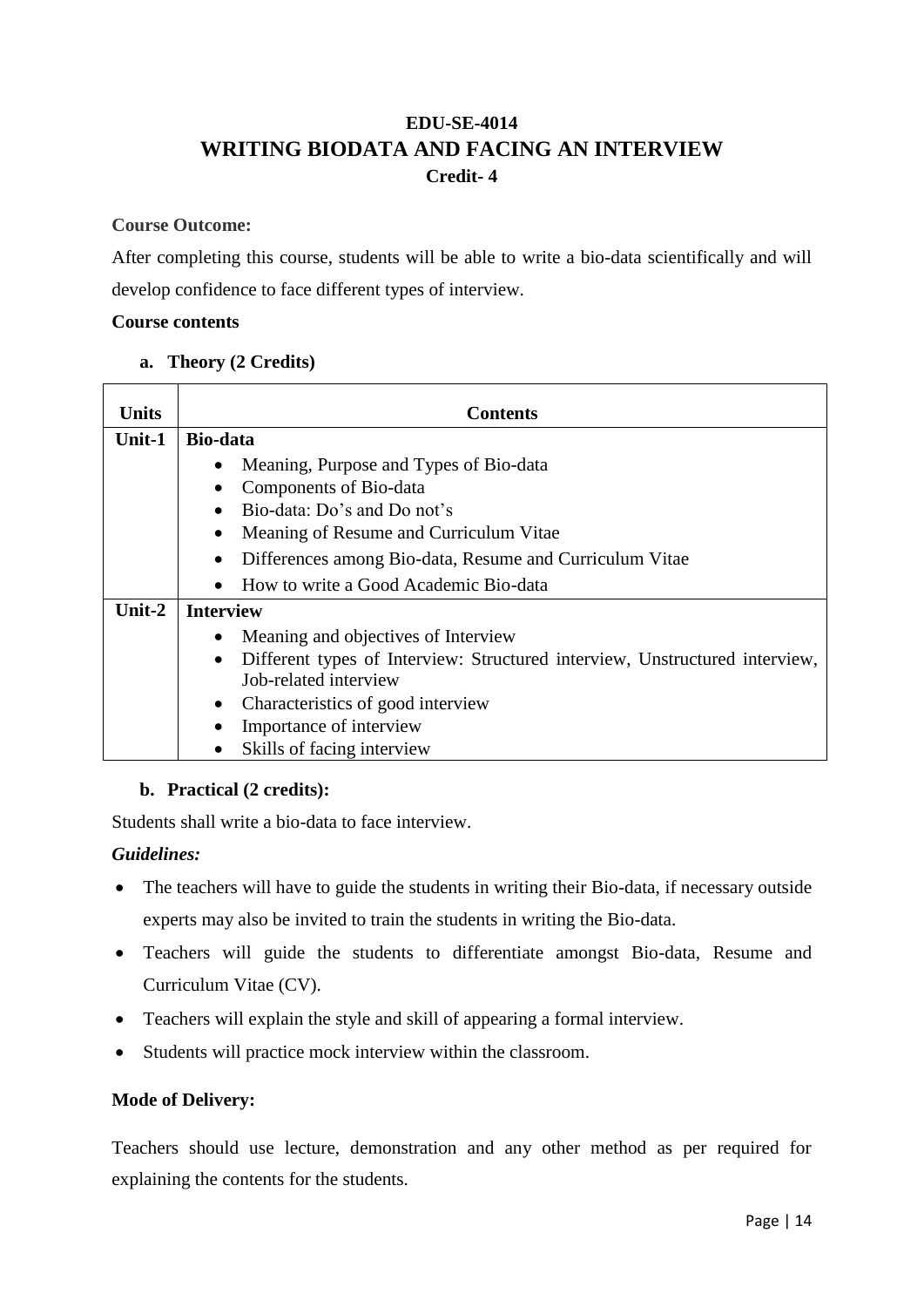### **EDU-SE-4014 WRITING BIODATA AND FACING AN INTERVIEW Credit- 4**

### **Course Outcome:**

After completing this course, students will be able to write a bio-data scientifically and will develop confidence to face different types of interview.

### **Course contents**

### **a. Theory (2 Credits)**

| Units     | <b>Contents</b>                                                                          |  |  |
|-----------|------------------------------------------------------------------------------------------|--|--|
| Unit-1    | Bio-data                                                                                 |  |  |
|           | Meaning, Purpose and Types of Bio-data                                                   |  |  |
|           | Components of Bio-data                                                                   |  |  |
|           | Bio-data: Do's and Do not's                                                              |  |  |
|           | Meaning of Resume and Curriculum Vitae                                                   |  |  |
|           | Differences among Bio-data, Resume and Curriculum Vitae                                  |  |  |
|           | How to write a Good Academic Bio-data                                                    |  |  |
| Unit- $2$ | <b>Interview</b>                                                                         |  |  |
|           | Meaning and objectives of Interview                                                      |  |  |
|           | Different types of Interview: Structured interview, Unstructured interview,<br>$\bullet$ |  |  |
|           | Job-related interview                                                                    |  |  |
|           | Characteristics of good interview<br>$\bullet$                                           |  |  |
|           | Importance of interview                                                                  |  |  |
|           | Skills of facing interview                                                               |  |  |

### **b. Practical (2 credits):**

Students shall write a bio-data to face interview.

### *Guidelines:*

- The teachers will have to guide the students in writing their Bio-data, if necessary outside experts may also be invited to train the students in writing the Bio-data.
- Teachers will guide the students to differentiate amongst Bio-data, Resume and Curriculum Vitae (CV).
- Teachers will explain the style and skill of appearing a formal interview.
- Students will practice mock interview within the classroom.

### **Mode of Delivery:**

Teachers should use lecture, demonstration and any other method as per required for explaining the contents for the students.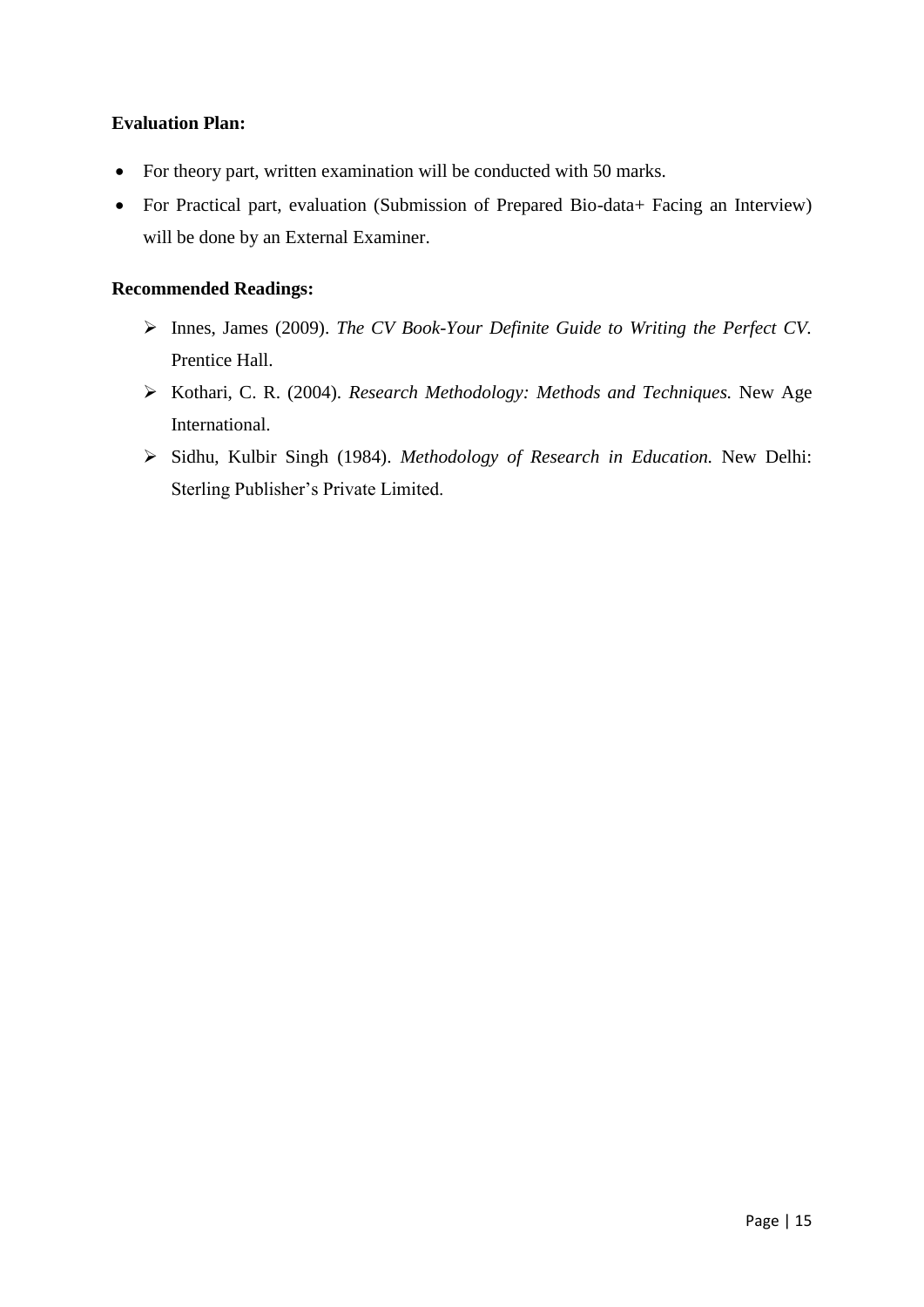### **Evaluation Plan:**

- For theory part, written examination will be conducted with 50 marks.
- For Practical part, evaluation (Submission of Prepared Bio-data+ Facing an Interview) will be done by an External Examiner.

- Innes, James (2009). *The CV Book-Your Definite Guide to Writing the Perfect CV.*  Prentice Hall.
- Kothari, C. R. (2004). *Research Methodology: Methods and Techniques.* New Age International.
- Sidhu, Kulbir Singh (1984). *Methodology of Research in Education.* New Delhi: Sterling Publisher's Private Limited.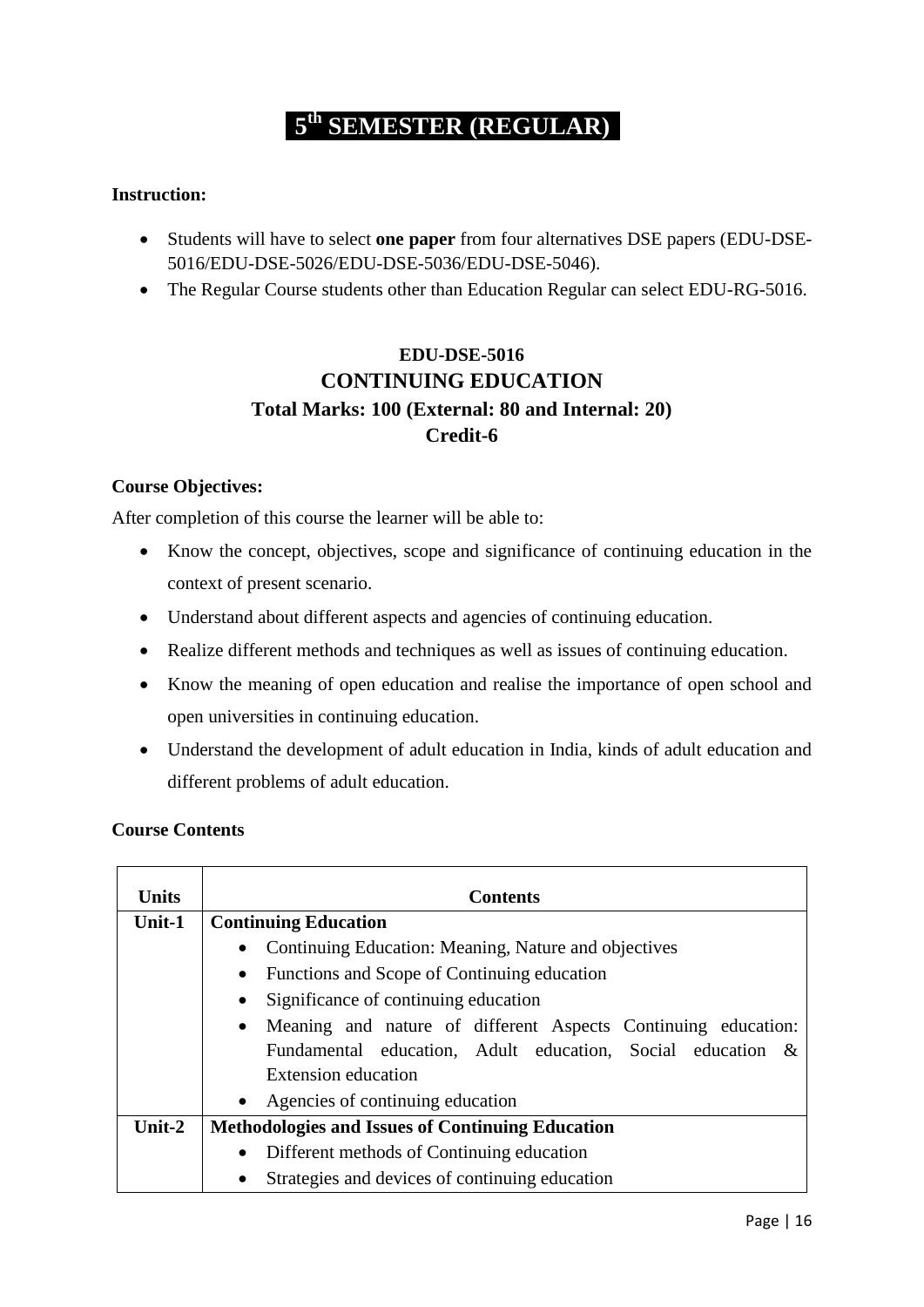# **5 th SEMESTER (REGULAR)**

#### **Instruction:**

- Students will have to select **one paper** from four alternatives DSE papers (EDU-DSE-5016/EDU-DSE-5026/EDU-DSE-5036/EDU-DSE-5046).
- The Regular Course students other than Education Regular can select EDU-RG-5016.

### **EDU-DSE-5016 CONTINUING EDUCATION Total Marks: 100 (External: 80 and Internal: 20) Credit-6**

#### **Course Objectives:**

After completion of this course the learner will be able to:

- Know the concept, objectives, scope and significance of continuing education in the context of present scenario.
- Understand about different aspects and agencies of continuing education.
- Realize different methods and techniques as well as issues of continuing education.
- Know the meaning of open education and realise the importance of open school and open universities in continuing education.
- Understand the development of adult education in India, kinds of adult education and different problems of adult education.

#### **Course Contents**

| <b>Units</b> | <b>Contents</b>                                                            |
|--------------|----------------------------------------------------------------------------|
| Unit-1       | <b>Continuing Education</b>                                                |
|              | Continuing Education: Meaning, Nature and objectives<br>$\bullet$          |
|              | Functions and Scope of Continuing education<br>$\bullet$                   |
|              | Significance of continuing education<br>$\bullet$                          |
|              | Meaning and nature of different Aspects Continuing education:<br>$\bullet$ |
|              | Fundamental education, Adult education, Social education &                 |
|              | Extension education                                                        |
|              | • Agencies of continuing education                                         |
| Unit-2       | <b>Methodologies and Issues of Continuing Education</b>                    |
|              | Different methods of Continuing education<br>$\bullet$                     |
|              | Strategies and devices of continuing education<br>$\bullet$                |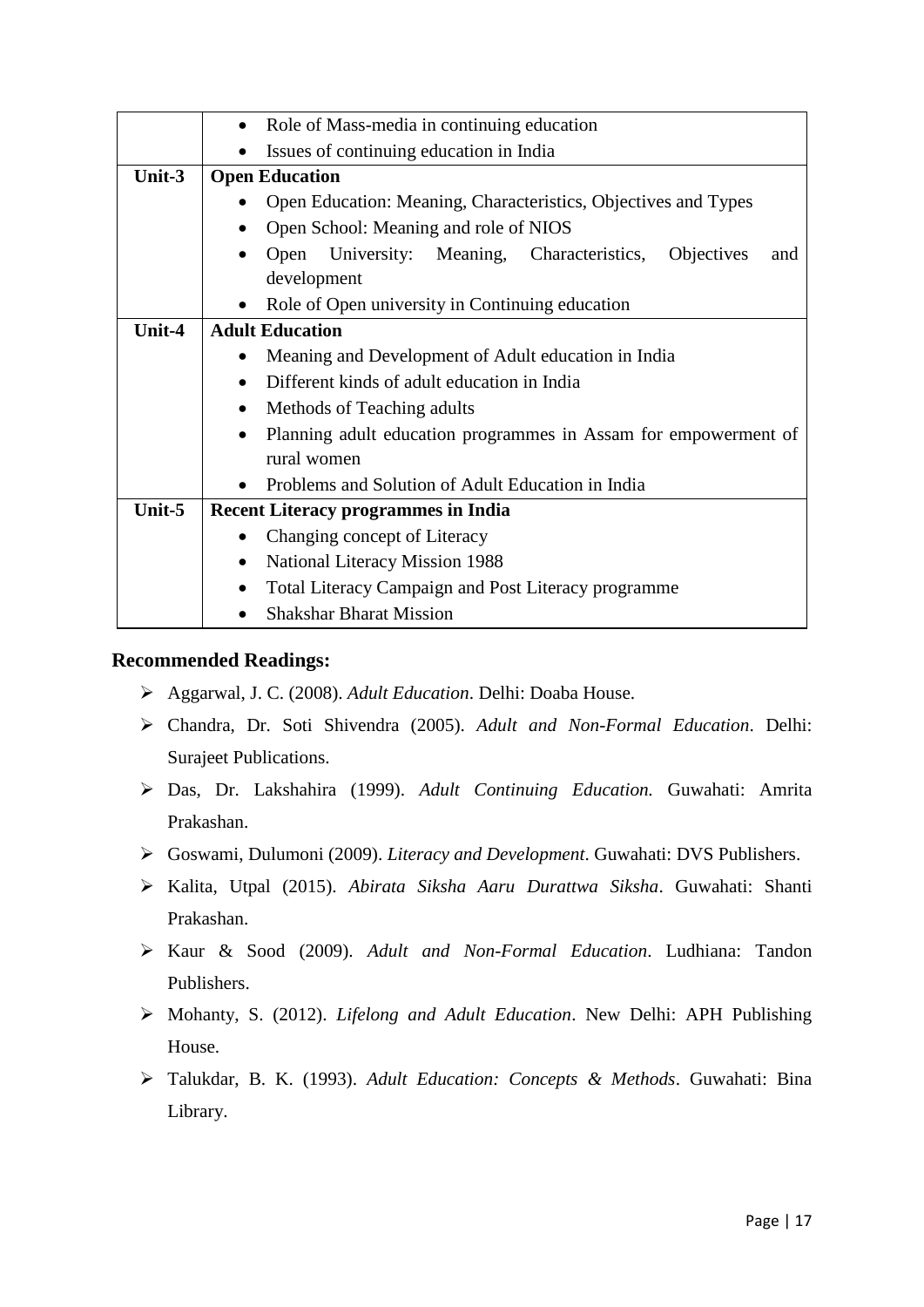|        | • Role of Mass-media in continuing education                                           |
|--------|----------------------------------------------------------------------------------------|
|        | Issues of continuing education in India                                                |
| Unit-3 | <b>Open Education</b>                                                                  |
|        | Open Education: Meaning, Characteristics, Objectives and Types                         |
|        | Open School: Meaning and role of NIOS                                                  |
|        | University: Meaning, Characteristics,<br><b>Objectives</b><br>Open<br>and<br>$\bullet$ |
|        | development                                                                            |
|        | Role of Open university in Continuing education                                        |
| Unit-4 | <b>Adult Education</b>                                                                 |
|        | Meaning and Development of Adult education in India<br>$\bullet$                       |
|        | Different kinds of adult education in India<br>$\bullet$                               |
|        | Methods of Teaching adults                                                             |
|        | Planning adult education programmes in Assam for empowerment of<br>$\bullet$           |
|        | rural women                                                                            |
|        | Problems and Solution of Adult Education in India<br>$\bullet$                         |
| Unit-5 | <b>Recent Literacy programmes in India</b>                                             |
|        | Changing concept of Literacy<br>$\bullet$                                              |
|        | National Literacy Mission 1988<br>$\bullet$                                            |
|        | <b>Total Literacy Campaign and Post Literacy programme</b>                             |
|        | <b>Shakshar Bharat Mission</b>                                                         |

- Aggarwal, J. C. (2008). *Adult Education*. Delhi: Doaba House.
- Chandra, Dr. Soti Shivendra (2005). *Adult and Non-Formal Education*. Delhi: Surajeet Publications.
- Das, Dr. Lakshahira (1999). *Adult Continuing Education.* Guwahati: Amrita Prakashan.
- Goswami, Dulumoni (2009). *Literacy and Development*. Guwahati: DVS Publishers.
- Kalita, Utpal (2015). *Abirata Siksha Aaru Durattwa Siksha*. Guwahati: Shanti Prakashan.
- Kaur & Sood (2009). *Adult and Non-Formal Education*. Ludhiana: Tandon Publishers.
- Mohanty, S. (2012). *Lifelong and Adult Education*. New Delhi: APH Publishing House.
- Talukdar, B. K. (1993). *Adult Education: Concepts & Methods*. Guwahati: Bina Library.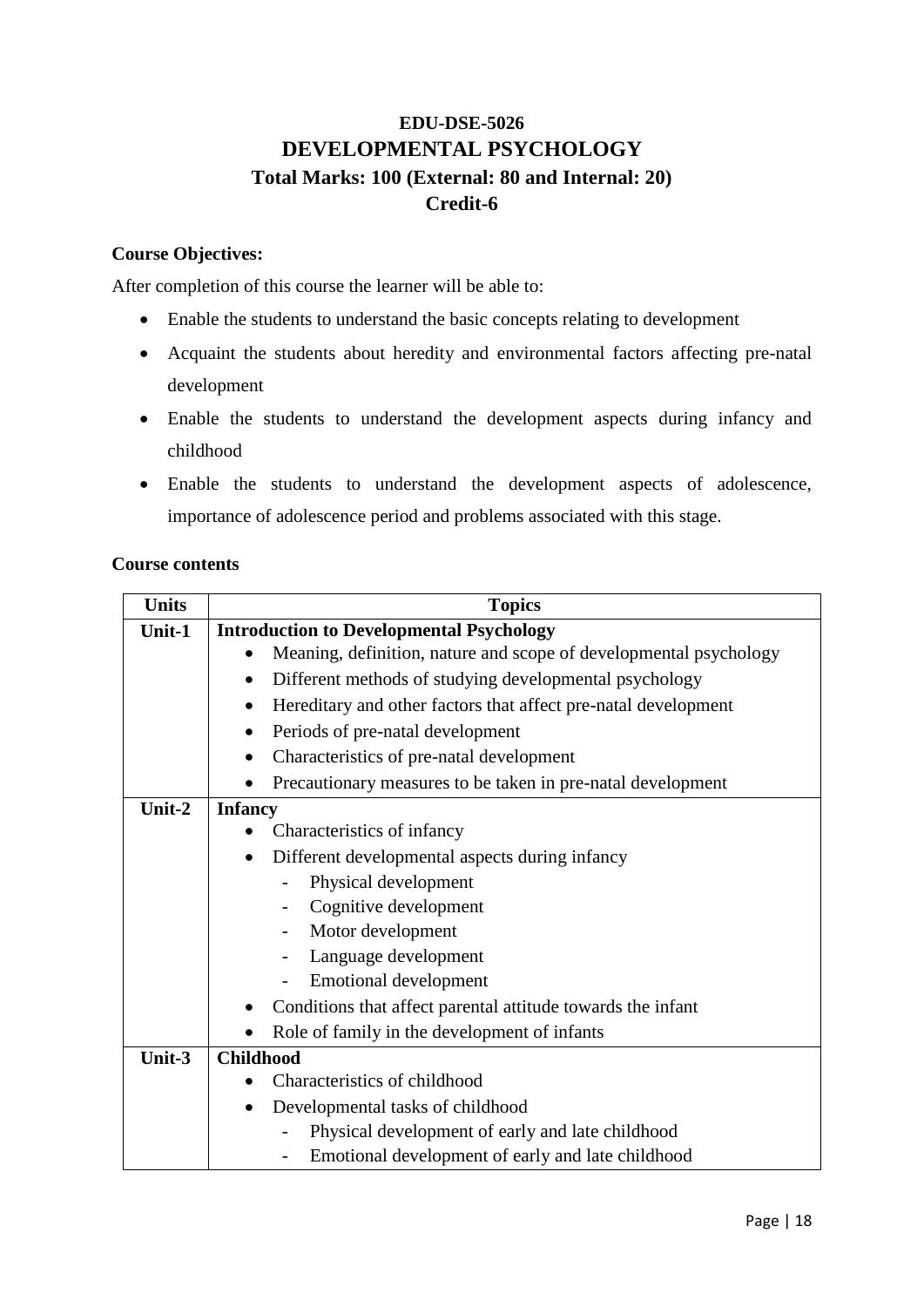### **EDU-DSE-5026 DEVELOPMENTAL PSYCHOLOGY Total Marks: 100 (External: 80 and Internal: 20) Credit-6**

### **Course Objectives:**

After completion of this course the learner will be able to:

- Enable the students to understand the basic concepts relating to development
- Acquaint the students about heredity and environmental factors affecting pre-natal development
- Enable the students to understand the development aspects during infancy and childhood
- Enable the students to understand the development aspects of adolescence, importance of adolescence period and problems associated with this stage.

#### **Course contents**

| <b>Units</b> | <b>Topics</b>                                                       |
|--------------|---------------------------------------------------------------------|
| Unit-1       | <b>Introduction to Developmental Psychology</b>                     |
|              | Meaning, definition, nature and scope of developmental psychology   |
|              | Different methods of studying developmental psychology<br>$\bullet$ |
|              | Hereditary and other factors that affect pre-natal development<br>٠ |
|              | Periods of pre-natal development                                    |
|              | Characteristics of pre-natal development                            |
|              | Precautionary measures to be taken in pre-natal development         |
| Unit-2       | <b>Infancy</b>                                                      |
|              | Characteristics of infancy                                          |
|              | Different developmental aspects during infancy                      |
|              | Physical development                                                |
|              | Cognitive development                                               |
|              | Motor development                                                   |
|              | Language development                                                |
|              | <b>Emotional development</b><br>$\qquad \qquad -$                   |
|              | Conditions that affect parental attitude towards the infant         |
|              | Role of family in the development of infants                        |
| Unit-3       | <b>Childhood</b>                                                    |
|              | Characteristics of childhood                                        |
|              | Developmental tasks of childhood<br>$\bullet$                       |
|              | Physical development of early and late childhood                    |
|              | Emotional development of early and late childhood                   |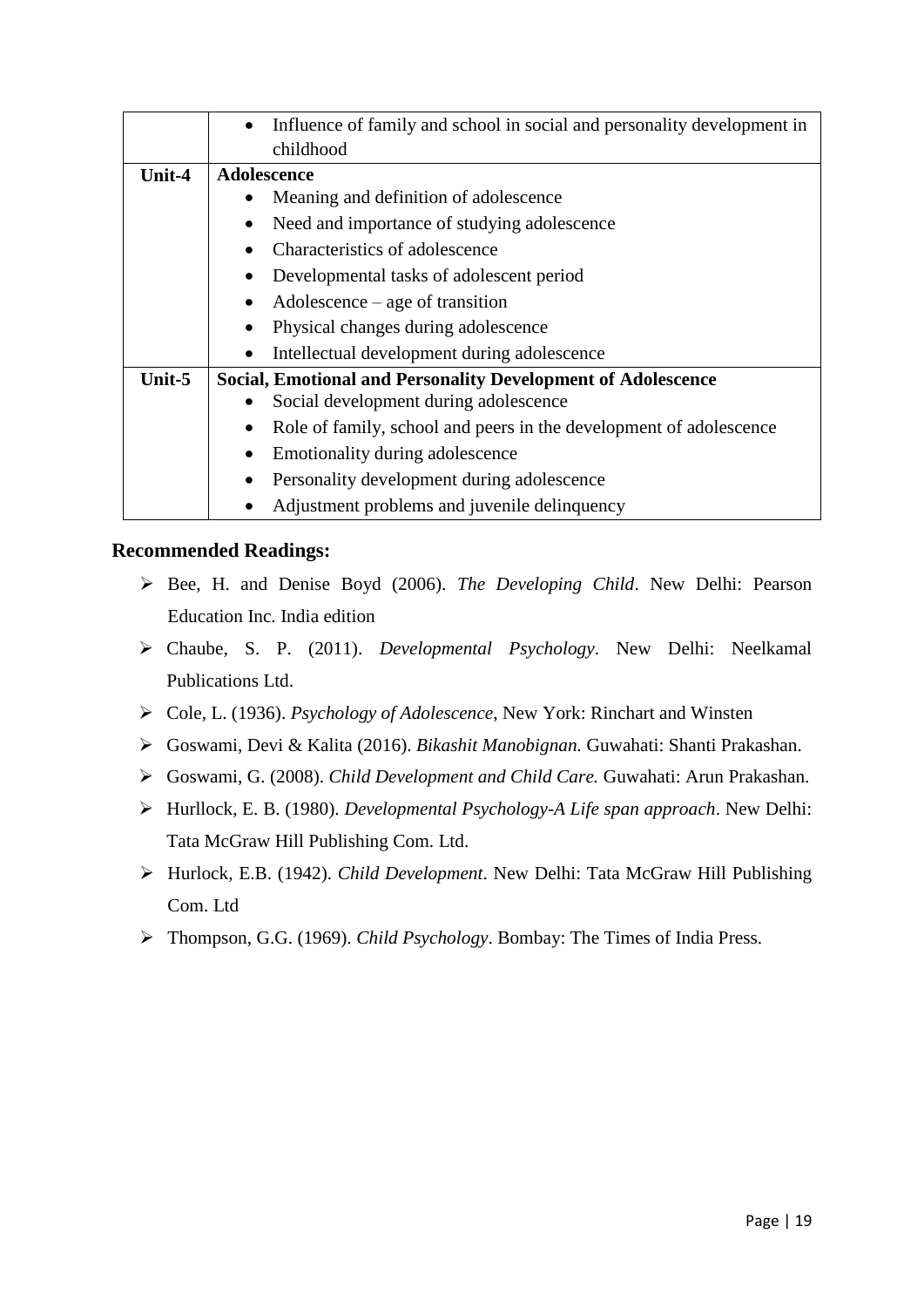|        | Influence of family and school in social and personality development in |
|--------|-------------------------------------------------------------------------|
|        | childhood                                                               |
| Unit-4 | Adolescence                                                             |
|        | Meaning and definition of adolescence                                   |
|        | Need and importance of studying adolescence<br>$\bullet$                |
|        | Characteristics of adolescence                                          |
|        | Developmental tasks of adolescent period                                |
|        | $\text{Adolescence} - \text{age of transition}$<br>$\bullet$            |
|        | Physical changes during adolescence                                     |
|        | Intellectual development during adolescence                             |
| Unit-5 | <b>Social, Emotional and Personality Development of Adolescence</b>     |
|        | Social development during adolescence<br>$\bullet$                      |
|        | Role of family, school and peers in the development of adolescence      |
|        | Emotionality during adolescence                                         |
|        | Personality development during adolescence                              |
|        | Adjustment problems and juvenile delinquency                            |

- Bee, H. and Denise Boyd (2006). *The Developing Child*. New Delhi: Pearson Education Inc. India edition
- Chaube, S. P. (2011). *Developmental Psychology*. New Delhi: Neelkamal Publications Ltd.
- Cole, L. (1936). *Psychology of Adolescence*, New York: Rinchart and Winsten
- Goswami, Devi & Kalita (2016). *Bikashit Manobignan.* Guwahati: Shanti Prakashan.
- Goswami, G. (2008). *Child Development and Child Care.* Guwahati: Arun Prakashan.
- Hurllock, E. B. (1980). *Developmental Psychology-A Life span approach*. New Delhi: Tata McGraw Hill Publishing Com. Ltd.
- Hurlock, E.B. (1942). *Child Development*. New Delhi: Tata McGraw Hill Publishing Com. Ltd
- Thompson, G.G. (1969). *Child Psychology*. Bombay: The Times of India Press.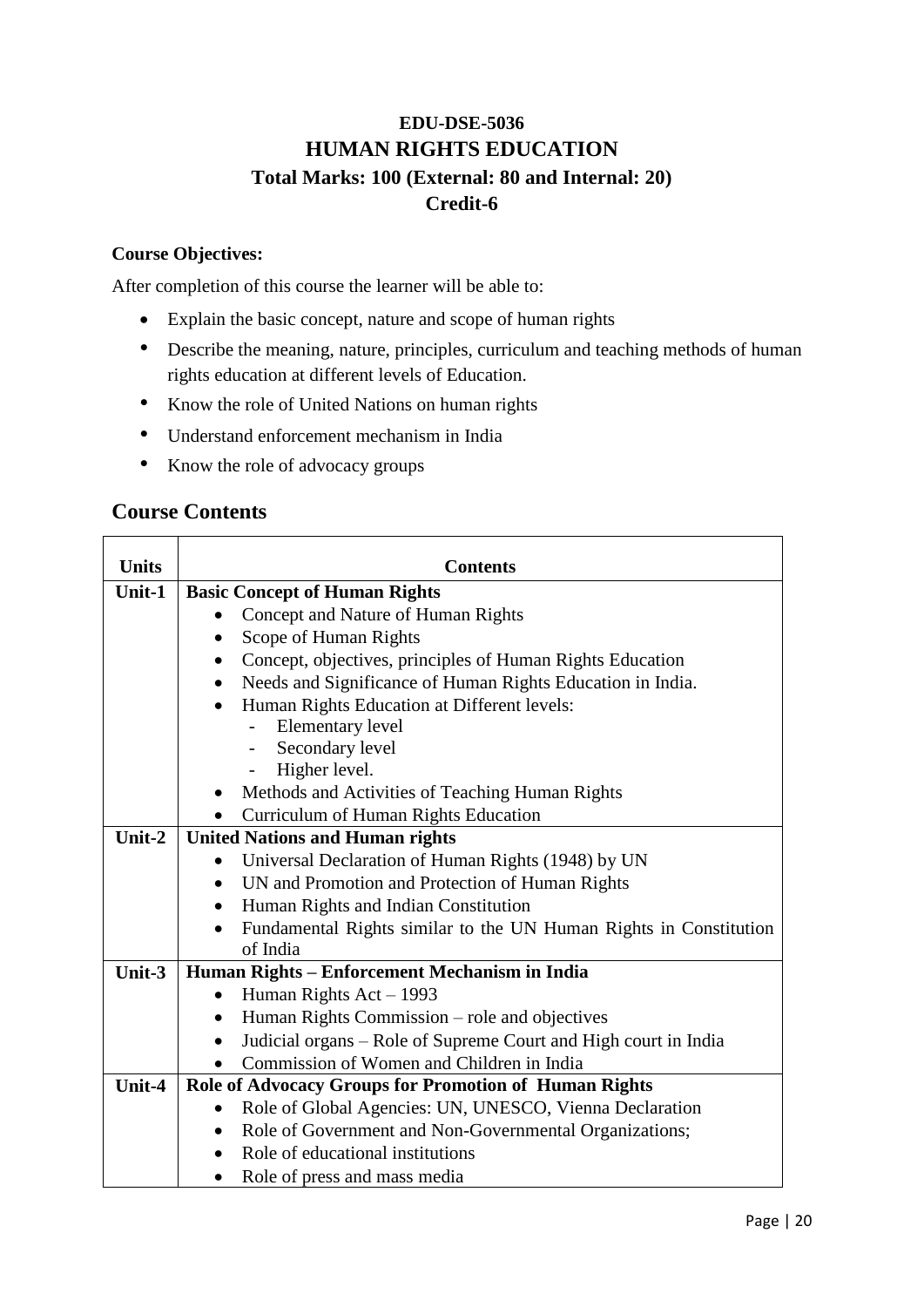### **EDU-DSE-5036 HUMAN RIGHTS EDUCATION Total Marks: 100 (External: 80 and Internal: 20) Credit-6**

### **Course Objectives:**

After completion of this course the learner will be able to:

- Explain the basic concept, nature and scope of human rights
- Describe the meaning, nature, principles, curriculum and teaching methods of human rights education at different levels of Education.
- Know the role of United Nations on human rights
- Understand enforcement mechanism in India
- Know the role of advocacy groups

### **Course Contents**

| <b>Units</b> | <b>Contents</b>                                                              |
|--------------|------------------------------------------------------------------------------|
| Unit-1       | <b>Basic Concept of Human Rights</b>                                         |
|              | Concept and Nature of Human Rights                                           |
|              | Scope of Human Rights                                                        |
|              | Concept, objectives, principles of Human Rights Education                    |
|              | Needs and Significance of Human Rights Education in India.                   |
|              | Human Rights Education at Different levels:                                  |
|              | <b>Elementary level</b>                                                      |
|              | Secondary level                                                              |
|              | Higher level.                                                                |
|              | Methods and Activities of Teaching Human Rights                              |
|              | Curriculum of Human Rights Education                                         |
| Unit-2       | <b>United Nations and Human rights</b>                                       |
|              | Universal Declaration of Human Rights (1948) by UN                           |
|              | UN and Promotion and Protection of Human Rights<br>$\bullet$                 |
|              | Human Rights and Indian Constitution                                         |
|              | Fundamental Rights similar to the UN Human Rights in Constitution            |
|              | of India                                                                     |
| Unit-3       | Human Rights - Enforcement Mechanism in India                                |
|              | Human Rights $Act - 1993$                                                    |
|              | Human Rights Commission - role and objectives                                |
|              | Judicial organs - Role of Supreme Court and High court in India<br>$\bullet$ |
|              | Commission of Women and Children in India                                    |
| Unit-4       | Role of Advocacy Groups for Promotion of Human Rights                        |
|              | Role of Global Agencies: UN, UNESCO, Vienna Declaration                      |
|              | Role of Government and Non-Governmental Organizations;<br>$\bullet$          |
|              | Role of educational institutions                                             |
|              | Role of press and mass media<br>$\bullet$                                    |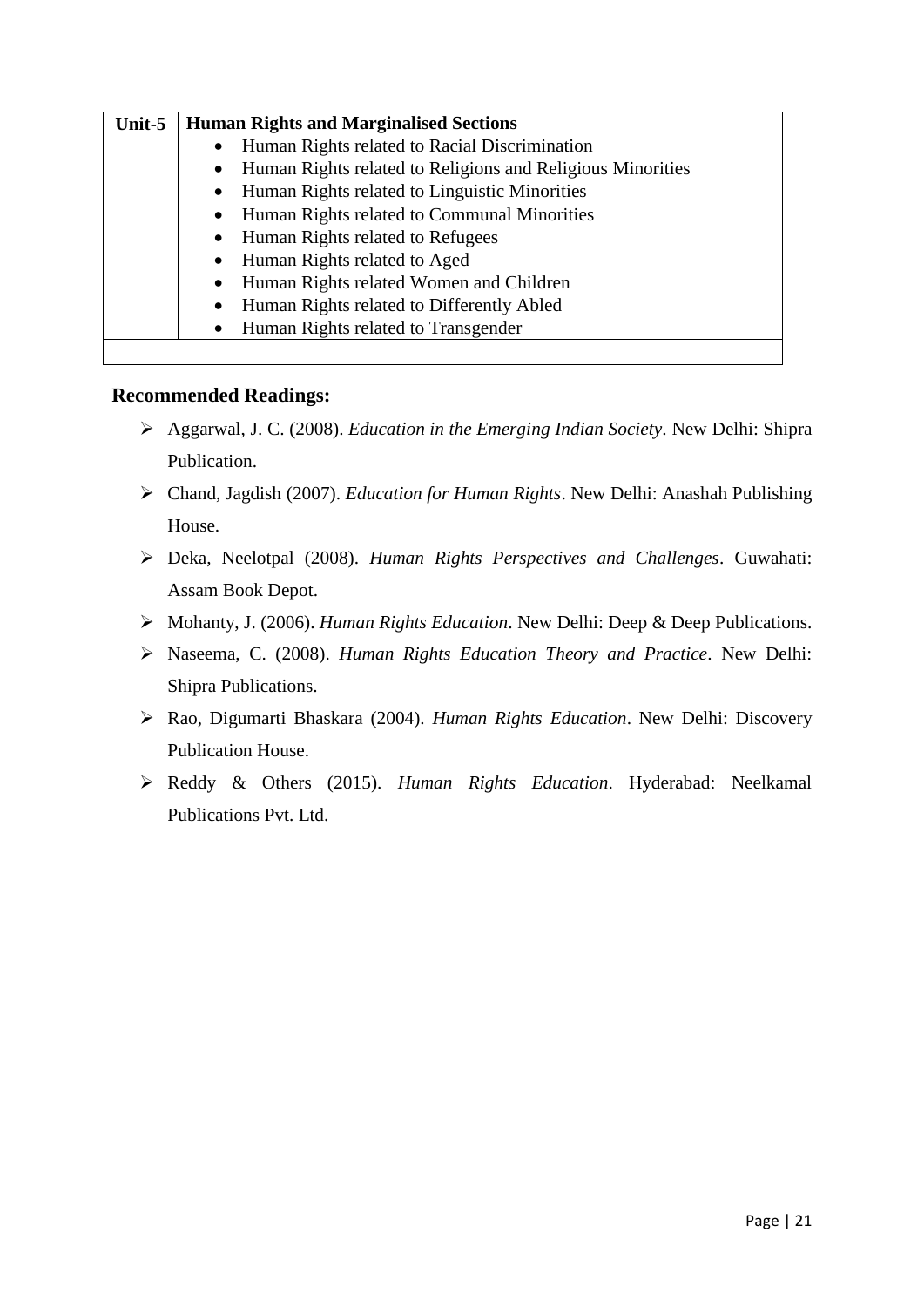| Unit-5 | <b>Human Rights and Marginalised Sections</b>                           |
|--------|-------------------------------------------------------------------------|
|        | Human Rights related to Racial Discrimination<br>$\bullet$              |
|        | Human Rights related to Religions and Religious Minorities<br>$\bullet$ |
|        | Human Rights related to Linguistic Minorities<br>$\bullet$              |
|        | Human Rights related to Communal Minorities                             |
|        | Human Rights related to Refugees<br>$\bullet$                           |
|        | Human Rights related to Aged                                            |
|        | Human Rights related Women and Children<br>$\bullet$                    |
|        | Human Rights related to Differently Abled                               |
|        | Human Rights related to Transgender<br>$\bullet$                        |
|        |                                                                         |

- Aggarwal, J. C. (2008). *Education in the Emerging Indian Society*. New Delhi: Shipra Publication.
- Chand, Jagdish (2007). *Education for Human Rights*. New Delhi: Anashah Publishing House.
- Deka, Neelotpal (2008). *Human Rights Perspectives and Challenges*. Guwahati: Assam Book Depot.
- Mohanty, J. (2006). *Human Rights Education*. New Delhi: Deep & Deep Publications.
- Naseema, C. (2008). *Human Rights Education Theory and Practice*. New Delhi: Shipra Publications.
- Rao, Digumarti Bhaskara (2004). *Human Rights Education*. New Delhi: Discovery Publication House.
- Reddy & Others (2015). *Human Rights Education*. Hyderabad: Neelkamal Publications Pvt. Ltd.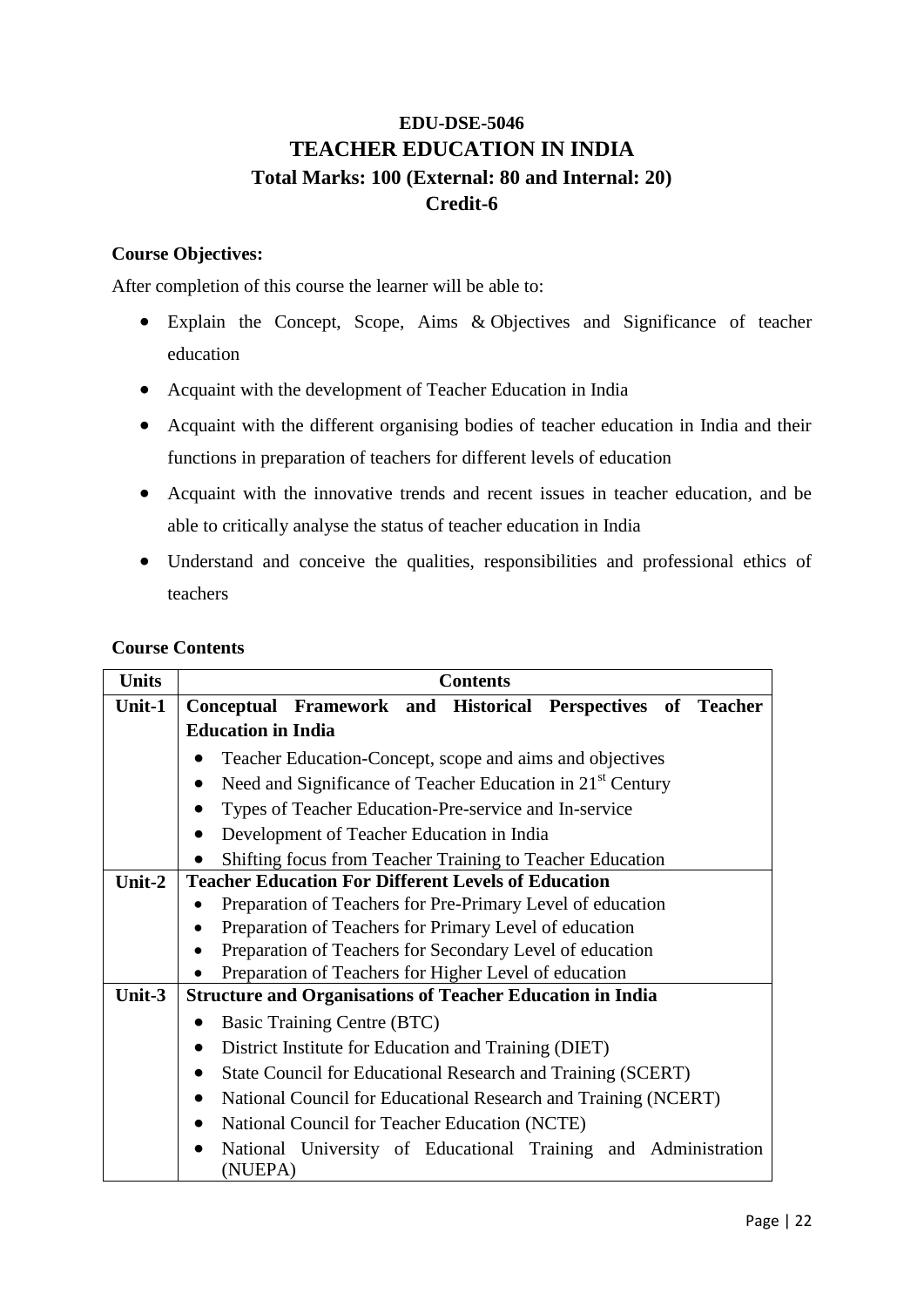### **EDU-DSE-5046 TEACHER EDUCATION IN INDIA Total Marks: 100 (External: 80 and Internal: 20) Credit-6**

### **Course Objectives:**

After completion of this course the learner will be able to:

- Explain the Concept, Scope, Aims & Objectives and Significance of teacher education
- Acquaint with the development of Teacher Education in India
- Acquaint with the different organising bodies of teacher education in India and their functions in preparation of teachers for different levels of education
- Acquaint with the innovative trends and recent issues in teacher education, and be able to critically analyse the status of teacher education in India
- Understand and conceive the qualities, responsibilities and professional ethics of teachers

### **Course Contents**

| <b>Units</b> | <b>Contents</b>                                                                     |
|--------------|-------------------------------------------------------------------------------------|
| Unit-1       | Conceptual Framework and Historical Perspectives of Teacher                         |
|              | <b>Education in India</b>                                                           |
|              | Teacher Education-Concept, scope and aims and objectives                            |
|              | Need and Significance of Teacher Education in 21 <sup>st</sup> Century<br>$\bullet$ |
|              | Types of Teacher Education-Pre-service and In-service                               |
|              | Development of Teacher Education in India                                           |
|              | Shifting focus from Teacher Training to Teacher Education                           |
| Unit-2       | <b>Teacher Education For Different Levels of Education</b>                          |
|              | Preparation of Teachers for Pre-Primary Level of education                          |
|              | Preparation of Teachers for Primary Level of education                              |
|              | Preparation of Teachers for Secondary Level of education                            |
|              | Preparation of Teachers for Higher Level of education                               |
| Unit-3       | <b>Structure and Organisations of Teacher Education in India</b>                    |
|              | Basic Training Centre (BTC)                                                         |
|              | District Institute for Education and Training (DIET)                                |
|              | State Council for Educational Research and Training (SCERT)                         |
|              | National Council for Educational Research and Training (NCERT)                      |
|              | National Council for Teacher Education (NCTE)<br>$\bullet$                          |
|              | National University of Educational Training and Administration<br>(NUEPA)           |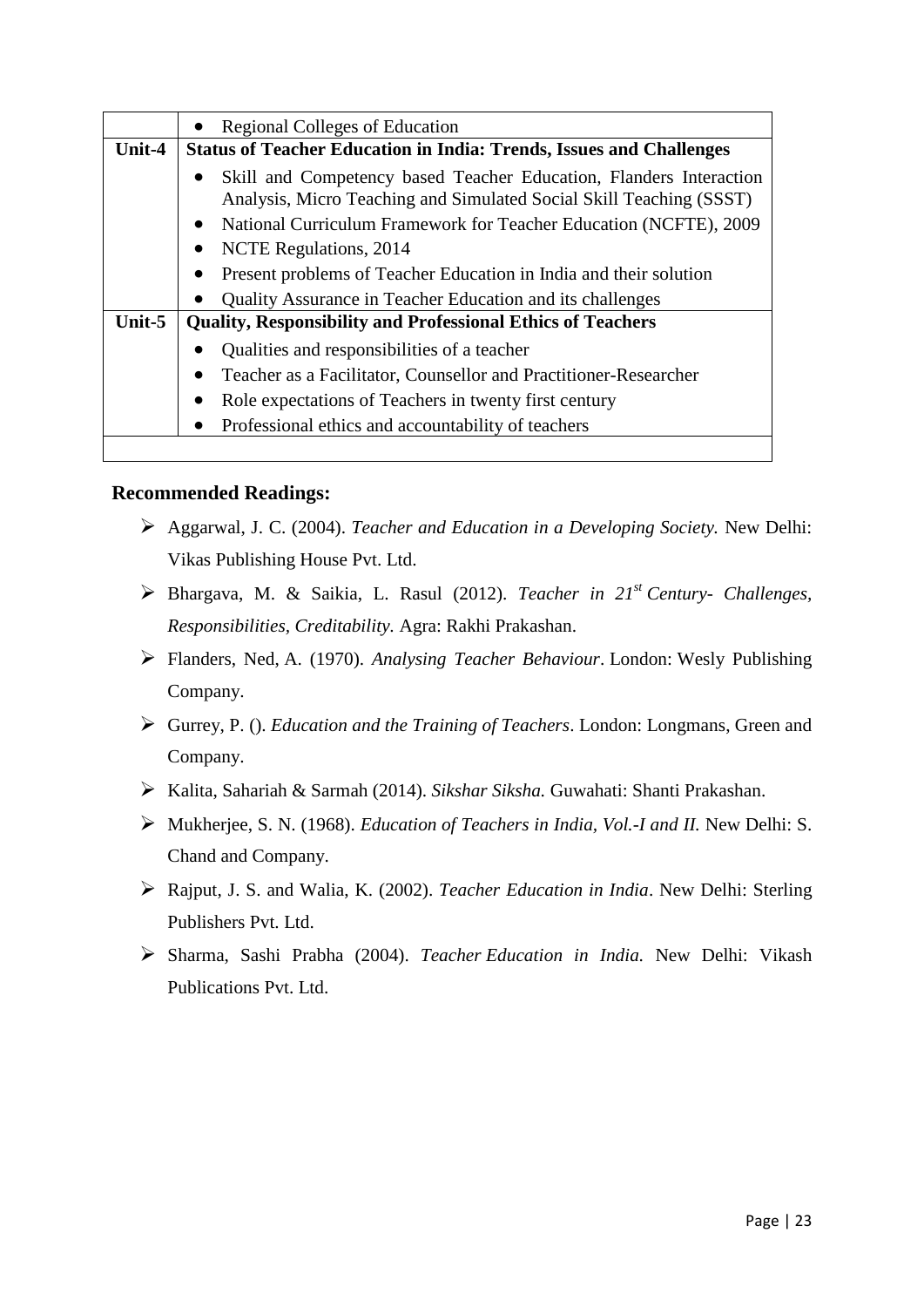|        | <b>Regional Colleges of Education</b><br>$\bullet$                                                                                        |
|--------|-------------------------------------------------------------------------------------------------------------------------------------------|
| Unit-4 | <b>Status of Teacher Education in India: Trends, Issues and Challenges</b>                                                                |
|        | Skill and Competency based Teacher Education, Flanders Interaction<br>Analysis, Micro Teaching and Simulated Social Skill Teaching (SSST) |
|        | National Curriculum Framework for Teacher Education (NCFTE), 2009<br>$\bullet$                                                            |
|        | NCTE Regulations, 2014<br>$\bullet$                                                                                                       |
|        | Present problems of Teacher Education in India and their solution<br>$\bullet$                                                            |
|        | Quality Assurance in Teacher Education and its challenges                                                                                 |
| Unit-5 | <b>Quality, Responsibility and Professional Ethics of Teachers</b>                                                                        |
|        | Qualities and responsibilities of a teacher                                                                                               |
|        | Teacher as a Facilitator, Counsellor and Practitioner-Researcher<br>$\bullet$                                                             |
|        | Role expectations of Teachers in twenty first century<br>$\bullet$                                                                        |
|        | Professional ethics and accountability of teachers<br>$\bullet$                                                                           |

- Aggarwal, J. C. (2004). *Teacher and Education in a Developing Society.* New Delhi: Vikas Publishing House Pvt. Ltd.
- Bhargava, M. & Saikia, L. Rasul (2012). *Teacher in 21st Century- Challenges, Responsibilities, Creditability.* Agra: Rakhi Prakashan.
- Flanders, Ned, A. (1970). *Analysing Teacher Behaviour*. London: Wesly Publishing Company.
- Gurrey, P. (). *Education and the Training of Teachers*. London: Longmans, Green and Company.
- Kalita, Sahariah & Sarmah (2014). *Sikshar Siksha.* Guwahati: Shanti Prakashan.
- Mukherjee, S. N. (1968). *Education of Teachers in India, Vol.-I and II.* New Delhi: S. Chand and Company.
- Rajput, J. S. and Walia, K. (2002). *Teacher Education in India*. New Delhi: Sterling Publishers Pvt. Ltd.
- Sharma, Sashi Prabha (2004). *Teacher Education in India.* New Delhi: Vikash Publications Pvt. Ltd.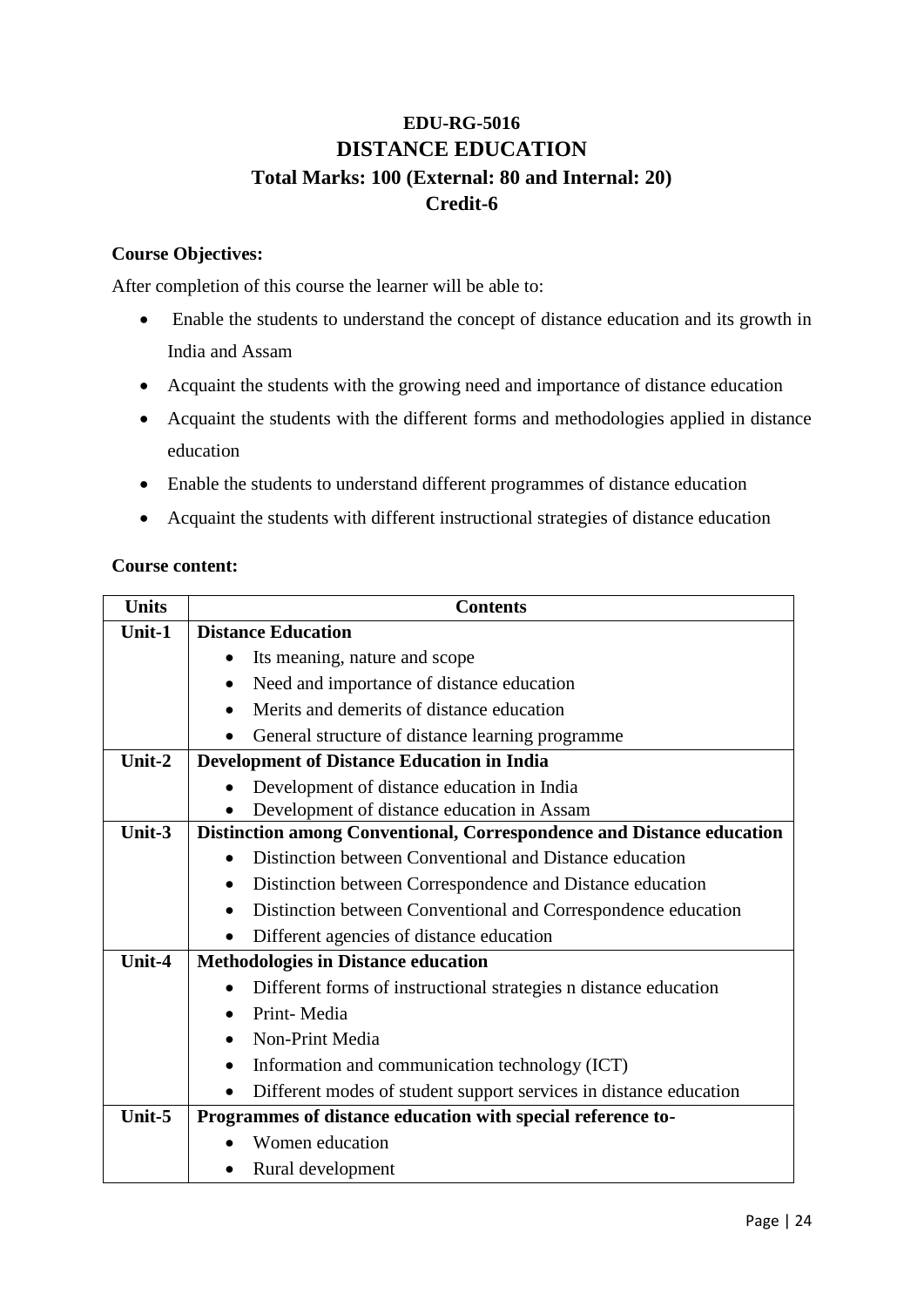### **EDU-RG-5016 DISTANCE EDUCATION Total Marks: 100 (External: 80 and Internal: 20) Credit-6**

### **Course Objectives:**

After completion of this course the learner will be able to:

- Enable the students to understand the concept of distance education and its growth in India and Assam
- Acquaint the students with the growing need and importance of distance education
- Acquaint the students with the different forms and methodologies applied in distance education
- Enable the students to understand different programmes of distance education
- Acquaint the students with different instructional strategies of distance education

### **Course content:**

| <b>Units</b> | <b>Contents</b>                                                            |
|--------------|----------------------------------------------------------------------------|
| Unit-1       | <b>Distance Education</b>                                                  |
|              | Its meaning, nature and scope                                              |
|              | Need and importance of distance education<br>$\bullet$                     |
|              | Merits and demerits of distance education<br>$\bullet$                     |
|              | General structure of distance learning programme                           |
| Unit-2       | <b>Development of Distance Education in India</b>                          |
|              | Development of distance education in India                                 |
|              | Development of distance education in Assam                                 |
| Unit- $3$    | Distinction among Conventional, Correspondence and Distance education      |
|              | Distinction between Conventional and Distance education                    |
|              | Distinction between Correspondence and Distance education                  |
|              | Distinction between Conventional and Correspondence education<br>$\bullet$ |
|              | Different agencies of distance education                                   |
| Unit-4       | <b>Methodologies in Distance education</b>                                 |
|              | Different forms of instructional strategies n distance education           |
|              | Print-Media                                                                |
|              | Non-Print Media                                                            |
|              | Information and communication technology (ICT)<br>$\bullet$                |
|              | Different modes of student support services in distance education          |
| Unit-5       | Programmes of distance education with special reference to-                |
|              | Women education                                                            |
|              | Rural development                                                          |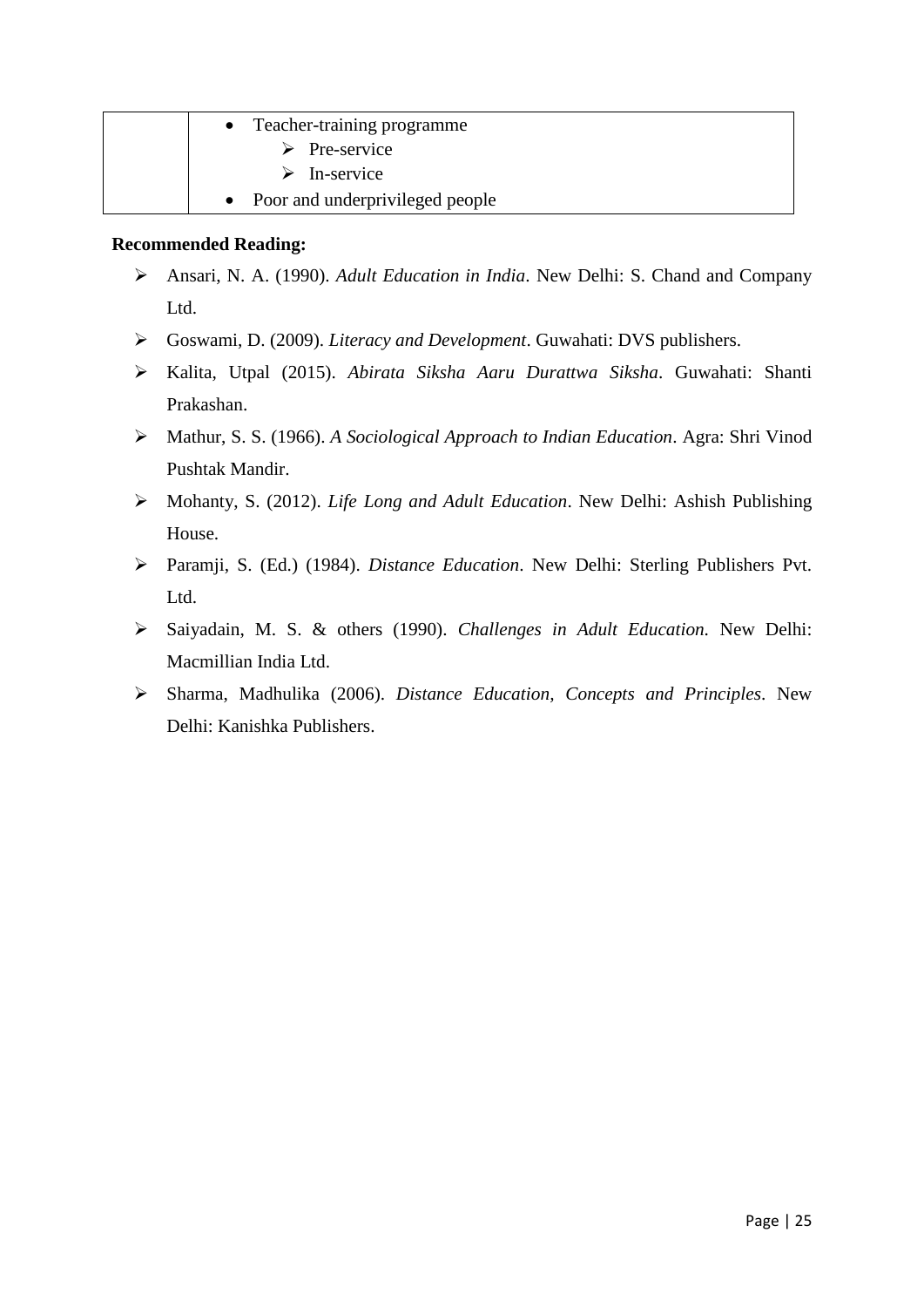| Teacher-training programme        |
|-----------------------------------|
| $\triangleright$ Pre-service      |
| $\triangleright$ In-service       |
| • Poor and underprivileged people |

- Ansari, N. A. (1990). *Adult Education in India*. New Delhi: S. Chand and Company Ltd.
- Goswami, D. (2009). *Literacy and Development*. Guwahati: DVS publishers.
- Kalita, Utpal (2015). *Abirata Siksha Aaru Durattwa Siksha*. Guwahati: Shanti Prakashan.
- Mathur, S. S. (1966). *A Sociological Approach to Indian Education*. Agra: Shri Vinod Pushtak Mandir.
- Mohanty, S. (2012). *Life Long and Adult Education*. New Delhi: Ashish Publishing House.
- Paramji, S. (Ed.) (1984). *Distance Education*. New Delhi: Sterling Publishers Pvt. Ltd.
- Saiyadain, M. S. & others (1990). *Challenges in Adult Education.* New Delhi: Macmillian India Ltd.
- Sharma, Madhulika (2006). *Distance Education, Concepts and Principles*. New Delhi: Kanishka Publishers.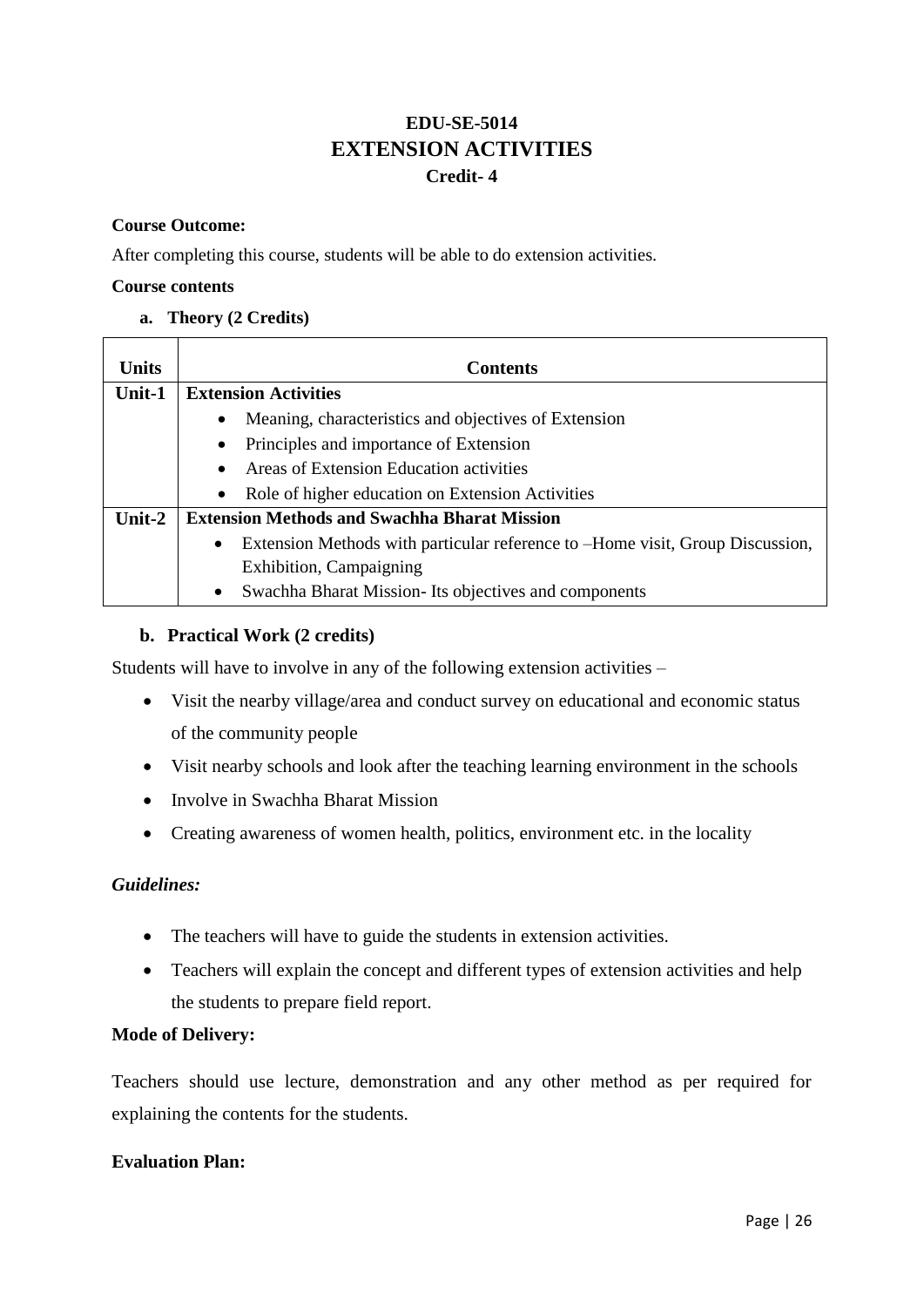### **EDU-SE-5014 EXTENSION ACTIVITIES Credit- 4**

#### **Course Outcome:**

After completing this course, students will be able to do extension activities.

#### **Course contents**

**a. Theory (2 Credits)**

| <b>Units</b> | <b>Contents</b>                                                                            |
|--------------|--------------------------------------------------------------------------------------------|
| Unit-1       | <b>Extension Activities</b>                                                                |
|              | Meaning, characteristics and objectives of Extension<br>$\bullet$                          |
|              | Principles and importance of Extension<br>$\bullet$                                        |
|              | Areas of Extension Education activities<br>$\bullet$                                       |
|              | Role of higher education on Extension Activities<br>$\bullet$                              |
| Unit- $2$    | <b>Extension Methods and Swachha Bharat Mission</b>                                        |
|              | Extension Methods with particular reference to –Home visit, Group Discussion,<br>$\bullet$ |
|              | Exhibition, Campaigning                                                                    |
|              | Swachha Bharat Mission- Its objectives and components<br>$\bullet$                         |

#### **b. Practical Work (2 credits)**

Students will have to involve in any of the following extension activities –

- Visit the nearby village/area and conduct survey on educational and economic status of the community people
- Visit nearby schools and look after the teaching learning environment in the schools
- Involve in Swachha Bharat Mission
- Creating awareness of women health, politics, environment etc. in the locality

### *Guidelines:*

- The teachers will have to guide the students in extension activities.
- Teachers will explain the concept and different types of extension activities and help the students to prepare field report.

#### **Mode of Delivery:**

Teachers should use lecture, demonstration and any other method as per required for explaining the contents for the students.

#### **Evaluation Plan:**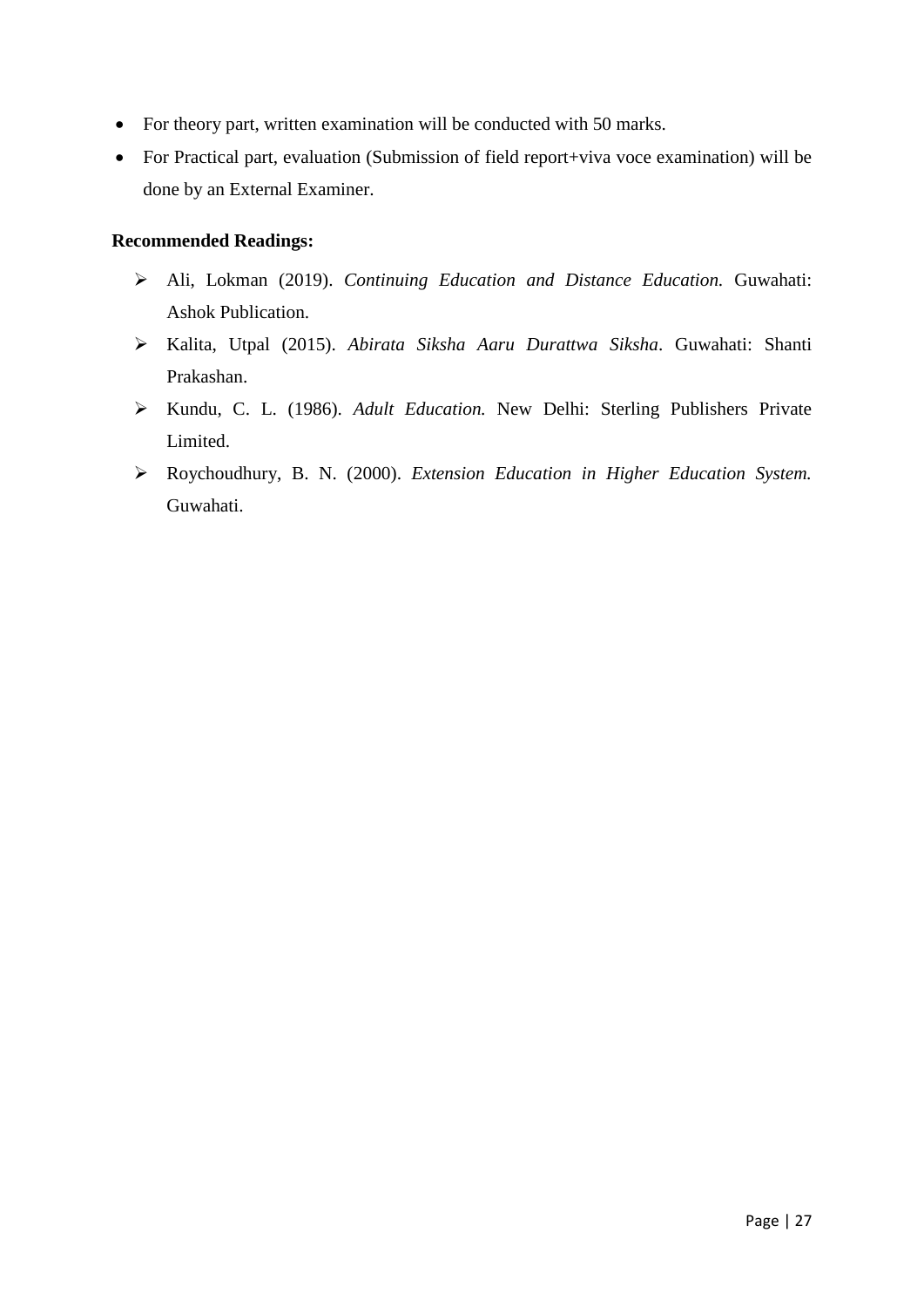- For theory part, written examination will be conducted with 50 marks.
- For Practical part, evaluation (Submission of field report+viva voce examination) will be done by an External Examiner.

- Ali, Lokman (2019). *Continuing Education and Distance Education.* Guwahati: Ashok Publication.
- Kalita, Utpal (2015). *Abirata Siksha Aaru Durattwa Siksha*. Guwahati: Shanti Prakashan.
- Kundu, C. L. (1986). *Adult Education.* New Delhi: Sterling Publishers Private Limited.
- Roychoudhury, B. N. (2000). *Extension Education in Higher Education System.*  Guwahati.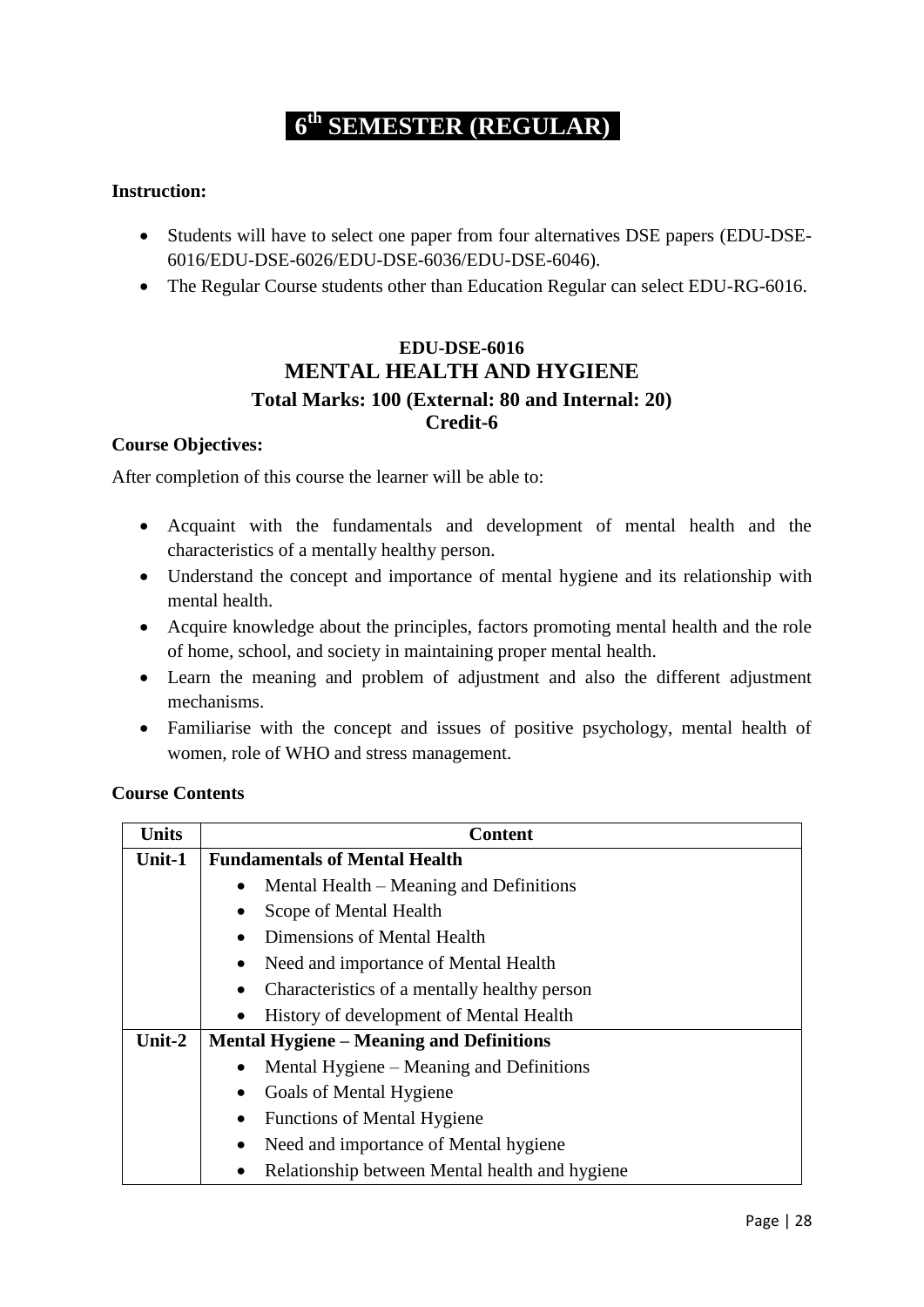# **6 th SEMESTER (REGULAR)**

### **Instruction:**

- Students will have to select one paper from four alternatives DSE papers (EDU-DSE-6016/EDU-DSE-6026/EDU-DSE-6036/EDU-DSE-6046).
- The Regular Course students other than Education Regular can select EDU-RG-6016.

### **EDU-DSE-6016 MENTAL HEALTH AND HYGIENE Total Marks: 100 (External: 80 and Internal: 20) Credit-6**

#### **Course Objectives:**

After completion of this course the learner will be able to:

- Acquaint with the fundamentals and development of mental health and the characteristics of a mentally healthy person.
- Understand the concept and importance of mental hygiene and its relationship with mental health.
- Acquire knowledge about the principles, factors promoting mental health and the role of home, school, and society in maintaining proper mental health.
- Learn the meaning and problem of adjustment and also the different adjustment mechanisms.
- Familiarise with the concept and issues of positive psychology, mental health of women, role of WHO and stress management.

### **Course Contents**

| <b>Units</b> | <b>Content</b>                                  |
|--------------|-------------------------------------------------|
| Unit-1       | <b>Fundamentals of Mental Health</b>            |
|              | Mental Health – Meaning and Definitions         |
|              | Scope of Mental Health                          |
|              | Dimensions of Mental Health                     |
|              | Need and importance of Mental Health            |
|              | Characteristics of a mentally healthy person    |
|              | History of development of Mental Health         |
| Unit-2       | <b>Mental Hygiene – Meaning and Definitions</b> |
|              | Mental Hygiene – Meaning and Definitions        |
|              | Goals of Mental Hygiene                         |
|              | <b>Functions of Mental Hygiene</b>              |
|              | Need and importance of Mental hygiene           |
|              | Relationship between Mental health and hygiene  |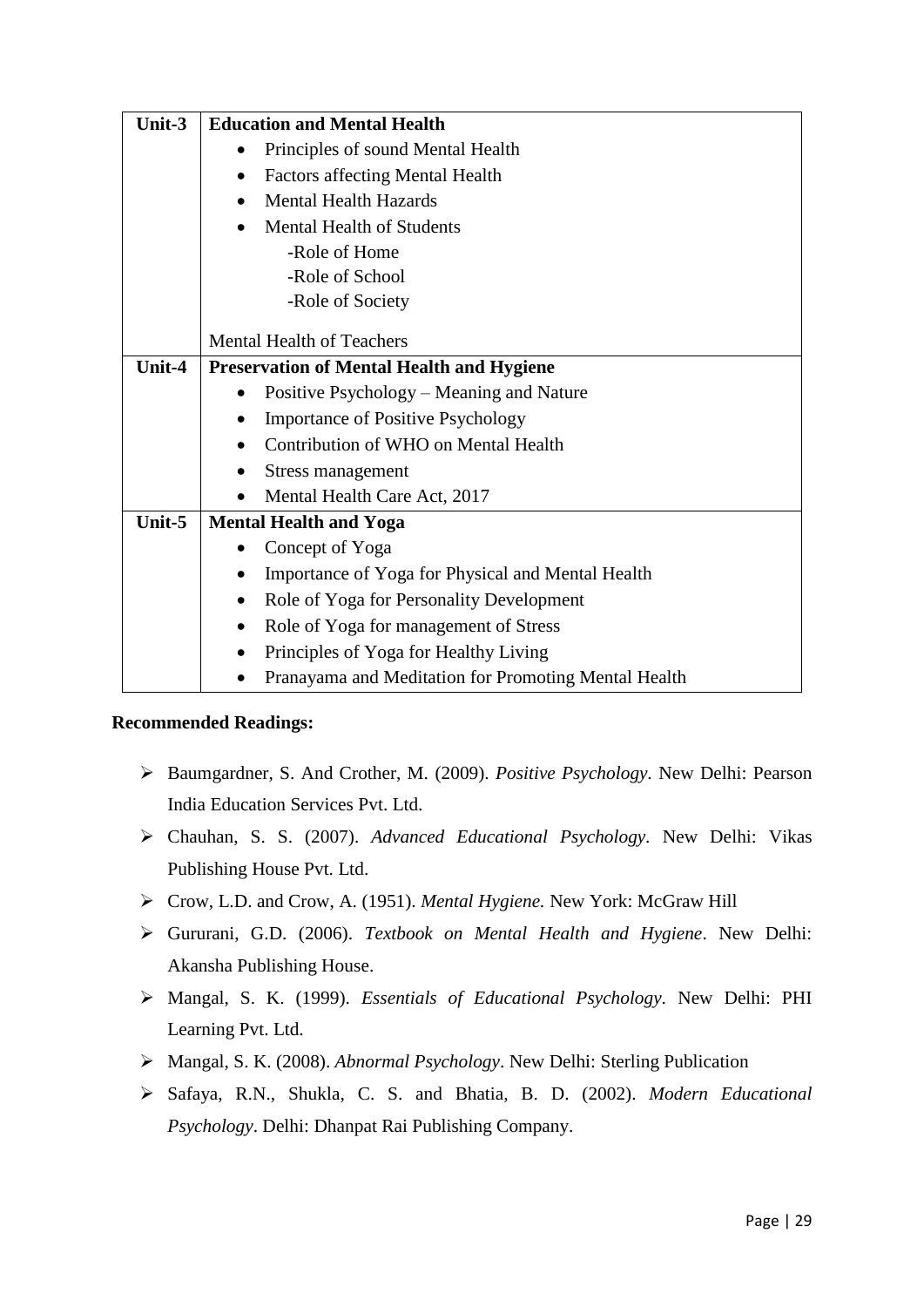| Unit-3 | <b>Education and Mental Health</b>                   |
|--------|------------------------------------------------------|
|        | Principles of sound Mental Health                    |
|        | <b>Factors affecting Mental Health</b><br>$\bullet$  |
|        | <b>Mental Health Hazards</b><br>$\bullet$            |
|        | <b>Mental Health of Students</b>                     |
|        | -Role of Home                                        |
|        | -Role of School                                      |
|        | -Role of Society                                     |
|        | <b>Mental Health of Teachers</b>                     |
| Unit-4 | <b>Preservation of Mental Health and Hygiene</b>     |
|        | Positive Psychology – Meaning and Nature             |
|        | <b>Importance of Positive Psychology</b>             |
|        | Contribution of WHO on Mental Health                 |
|        | Stress management<br>$\bullet$                       |
|        | Mental Health Care Act, 2017                         |
| Unit-5 | <b>Mental Health and Yoga</b>                        |
|        | Concept of Yoga                                      |
|        | Importance of Yoga for Physical and Mental Health    |
|        | Role of Yoga for Personality Development             |
|        | Role of Yoga for management of Stress                |
|        | Principles of Yoga for Healthy Living<br>$\bullet$   |
|        | Pranayama and Meditation for Promoting Mental Health |

- Baumgardner, S. And Crother, M. (2009). *Positive Psychology.* New Delhi: Pearson India Education Services Pvt. Ltd.
- Chauhan, S. S. (2007). *Advanced Educational Psychology.* New Delhi: Vikas Publishing House Pvt. Ltd.
- Crow, L.D. and Crow, A. (1951). *Mental Hygiene.* New York: McGraw Hill
- Gururani, G.D. (2006). *Textbook on Mental Health and Hygiene*. New Delhi: Akansha Publishing House.
- Mangal, S. K. (1999). *Essentials of Educational Psychology.* New Delhi: PHI Learning Pvt. Ltd.
- Mangal, S. K. (2008). *Abnormal Psychology*. New Delhi: Sterling Publication
- Safaya, R.N., Shukla, C. S. and Bhatia, B. D. (2002). *Modern Educational Psychology*. Delhi: Dhanpat Rai Publishing Company.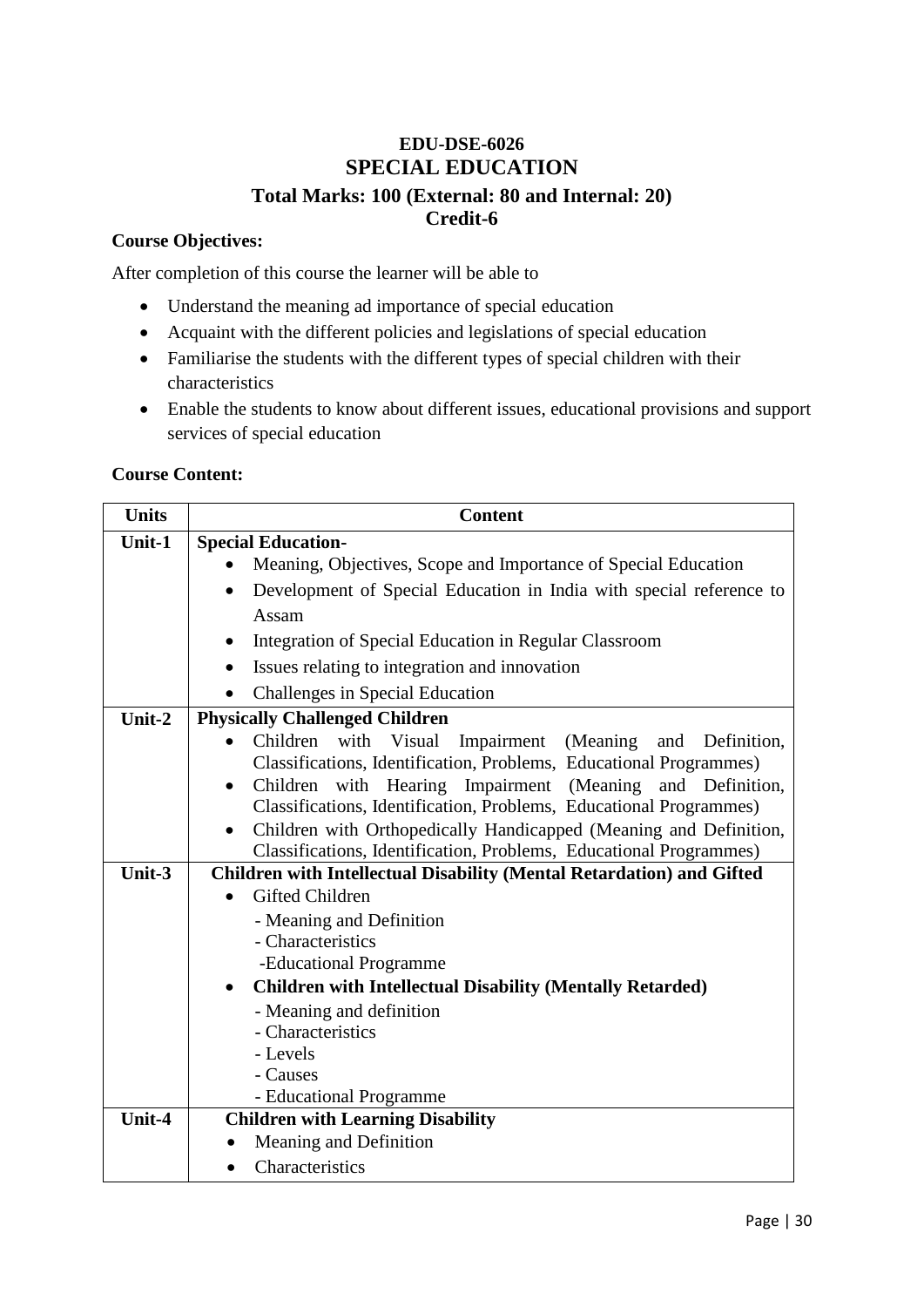### **EDU-DSE-6026 SPECIAL EDUCATION Total Marks: 100 (External: 80 and Internal: 20) Credit-6**

### **Course Objectives:**

After completion of this course the learner will be able to

- Understand the meaning ad importance of special education
- Acquaint with the different policies and legislations of special education
- Familiarise the students with the different types of special children with their characteristics
- Enable the students to know about different issues, educational provisions and support services of special education

### **Course Content:**

| <b>Units</b> | <b>Content</b>                                                                                  |
|--------------|-------------------------------------------------------------------------------------------------|
| Unit-1       | <b>Special Education-</b>                                                                       |
|              | Meaning, Objectives, Scope and Importance of Special Education                                  |
|              | Development of Special Education in India with special reference to<br>$\bullet$                |
|              | Assam                                                                                           |
|              | Integration of Special Education in Regular Classroom                                           |
|              | Issues relating to integration and innovation                                                   |
|              | Challenges in Special Education                                                                 |
| Unit-2       | <b>Physically Challenged Children</b>                                                           |
|              | Children with Visual Impairment<br>(Meaning)<br>and<br>Definition,                              |
|              | Classifications, Identification, Problems, Educational Programmes)                              |
|              | Children with Hearing Impairment (Meaning<br>and Definition,<br>$\bullet$                       |
|              | Classifications, Identification, Problems, Educational Programmes)                              |
|              | Children with Orthopedically Handicapped (Meaning and Definition,<br>$\bullet$                  |
|              | Classifications, Identification, Problems, Educational Programmes)                              |
| Unit-3       | <b>Children with Intellectual Disability (Mental Retardation) and Gifted</b><br>Gifted Children |
|              | - Meaning and Definition                                                                        |
|              | - Characteristics                                                                               |
|              | -Educational Programme                                                                          |
|              | <b>Children with Intellectual Disability (Mentally Retarded)</b><br>$\bullet$                   |
|              | - Meaning and definition                                                                        |
|              | - Characteristics                                                                               |
|              | - Levels                                                                                        |
|              | - Causes                                                                                        |
|              | - Educational Programme                                                                         |
| Unit-4       | <b>Children with Learning Disability</b>                                                        |
|              | Meaning and Definition                                                                          |
|              | Characteristics                                                                                 |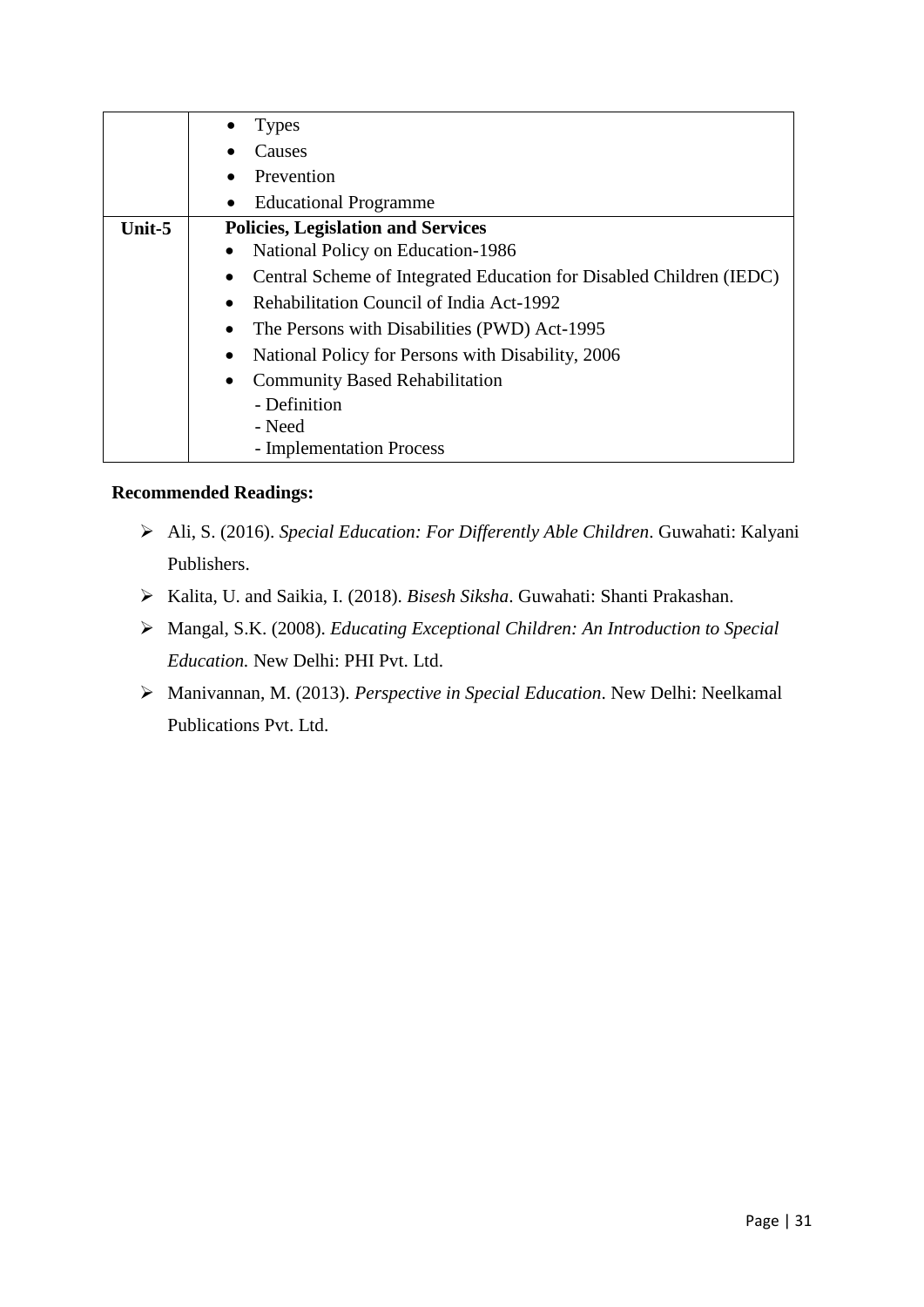|        | <b>Types</b>                                                                     |
|--------|----------------------------------------------------------------------------------|
|        | Causes                                                                           |
|        | Prevention                                                                       |
|        | <b>Educational Programme</b>                                                     |
| Unit-5 | <b>Policies, Legislation and Services</b>                                        |
|        | National Policy on Education-1986<br>٠                                           |
|        | Central Scheme of Integrated Education for Disabled Children (IEDC)<br>$\bullet$ |
|        | Rehabilitation Council of India Act-1992<br>$\bullet$                            |
|        | The Persons with Disabilities (PWD) Act-1995                                     |
|        | National Policy for Persons with Disability, 2006<br>$\bullet$                   |
|        | <b>Community Based Rehabilitation</b><br>$\bullet$                               |
|        | - Definition                                                                     |
|        | - Need                                                                           |
|        | - Implementation Process                                                         |

- Ali, S. (2016). *Special Education: For Differently Able Children*. Guwahati: Kalyani Publishers.
- Kalita, U. and Saikia, I. (2018). *Bisesh Siksha*. Guwahati: Shanti Prakashan.
- Mangal, S.K. (2008). *Educating Exceptional Children: An Introduction to Special Education.* New Delhi: PHI Pvt. Ltd.
- Manivannan, M. (2013). *Perspective in Special Education*. New Delhi: Neelkamal Publications Pvt. Ltd.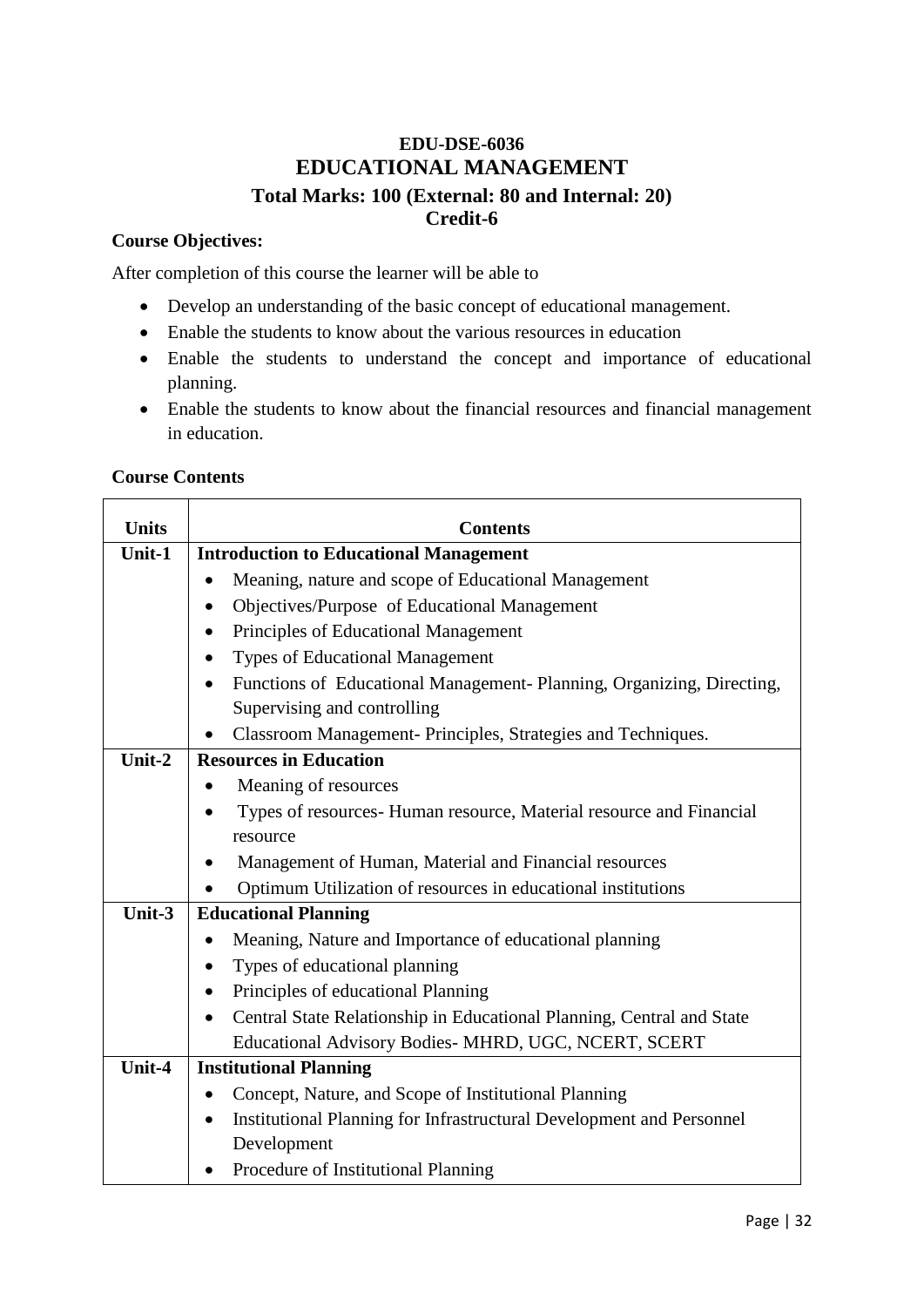### **EDU-DSE-6036 EDUCATIONAL MANAGEMENT Total Marks: 100 (External: 80 and Internal: 20) Credit-6**

### **Course Objectives:**

After completion of this course the learner will be able to

- Develop an understanding of the basic concept of educational management.
- Enable the students to know about the various resources in education
- Enable the students to understand the concept and importance of educational planning.
- Enable the students to know about the financial resources and financial management in education.

### **Course Contents**

| <b>Units</b> | <b>Contents</b>                                                                    |
|--------------|------------------------------------------------------------------------------------|
| Unit-1       | <b>Introduction to Educational Management</b>                                      |
|              | Meaning, nature and scope of Educational Management<br>$\bullet$                   |
|              | Objectives/Purpose of Educational Management                                       |
|              | Principles of Educational Management                                               |
|              | <b>Types of Educational Management</b>                                             |
|              | Functions of Educational Management- Planning, Organizing, Directing,<br>$\bullet$ |
|              | Supervising and controlling                                                        |
|              | Classroom Management- Principles, Strategies and Techniques.                       |
| Unit-2       | <b>Resources in Education</b>                                                      |
|              | Meaning of resources                                                               |
|              | Types of resources- Human resource, Material resource and Financial                |
|              | resource                                                                           |
|              | Management of Human, Material and Financial resources<br>$\bullet$                 |
|              | Optimum Utilization of resources in educational institutions                       |
| Unit-3       | <b>Educational Planning</b>                                                        |
|              | Meaning, Nature and Importance of educational planning                             |
|              | Types of educational planning                                                      |
|              | Principles of educational Planning                                                 |
|              | Central State Relationship in Educational Planning, Central and State<br>$\bullet$ |
|              | Educational Advisory Bodies- MHRD, UGC, NCERT, SCERT                               |
| Unit-4       | <b>Institutional Planning</b>                                                      |
|              | Concept, Nature, and Scope of Institutional Planning<br>٠                          |
|              | Institutional Planning for Infrastructural Development and Personnel<br>$\bullet$  |
|              | Development                                                                        |
|              | Procedure of Institutional Planning                                                |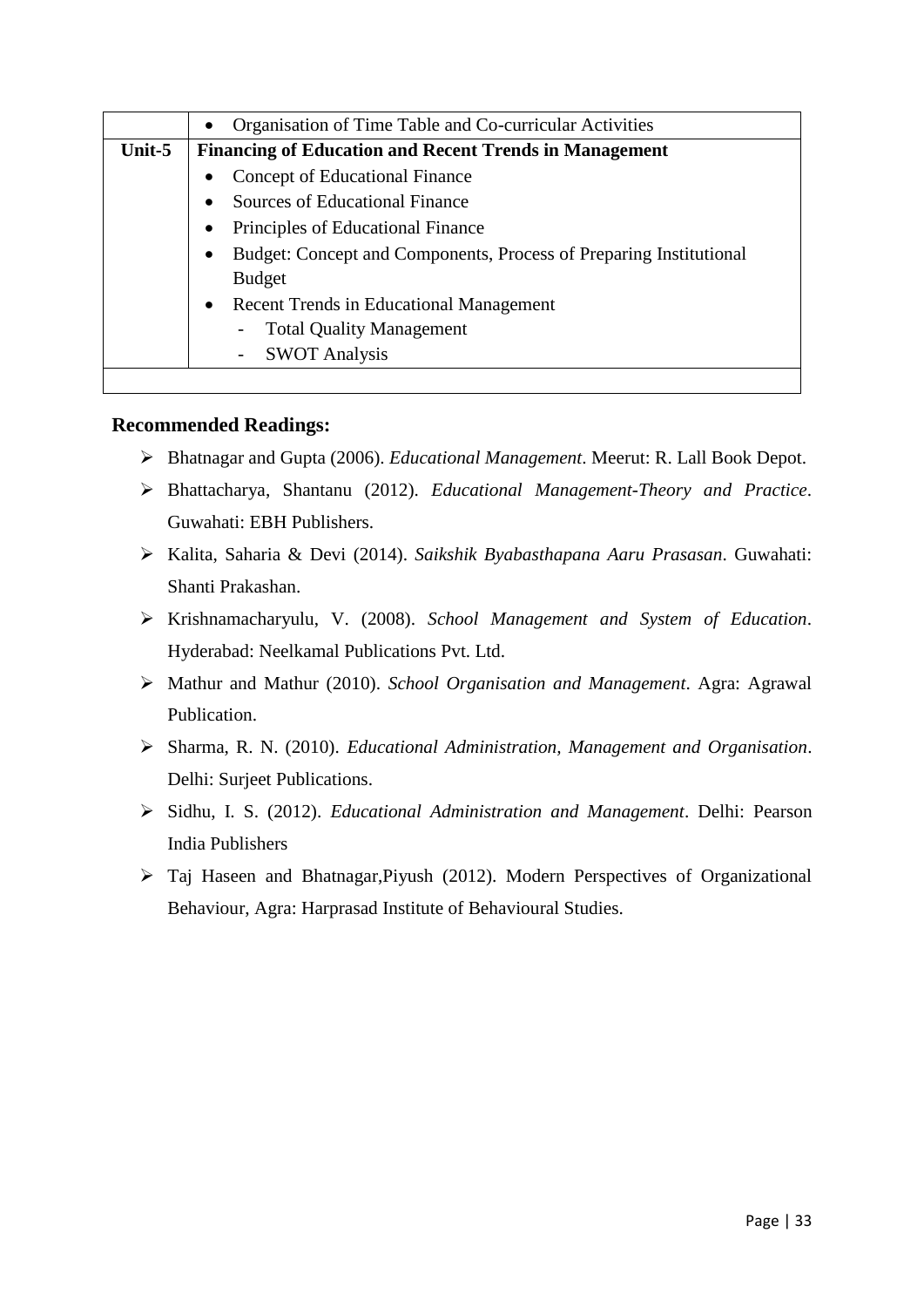|        | Organisation of Time Table and Co-curricular Activities                 |
|--------|-------------------------------------------------------------------------|
| Unit-5 | <b>Financing of Education and Recent Trends in Management</b>           |
|        | Concept of Educational Finance                                          |
|        | <b>Sources of Educational Finance</b>                                   |
|        | Principles of Educational Finance                                       |
|        | Budget: Concept and Components, Process of Preparing Institutional<br>٠ |
|        | <b>Budget</b>                                                           |
|        | <b>Recent Trends in Educational Management</b><br>$\bullet$             |
|        | <b>Total Quality Management</b>                                         |
|        | <b>SWOT Analysis</b>                                                    |
|        |                                                                         |

- Bhatnagar and Gupta (2006). *Educational Management*. Meerut: R. Lall Book Depot.
- Bhattacharya, Shantanu (2012). *Educational Management-Theory and Practice*. Guwahati: EBH Publishers.
- Kalita, Saharia & Devi (2014). *Saikshik Byabasthapana Aaru Prasasan*. Guwahati: Shanti Prakashan.
- Krishnamacharyulu, V. (2008). *School Management and System of Education*. Hyderabad: Neelkamal Publications Pvt. Ltd.
- Mathur and Mathur (2010). *School Organisation and Management*. Agra: Agrawal Publication.
- Sharma, R. N. (2010). *Educational Administration, Management and Organisation*. Delhi: Surjeet Publications.
- Sidhu, I. S. (2012). *Educational Administration and Management*. Delhi: Pearson India Publishers
- Taj Haseen and Bhatnagar,Piyush (2012). Modern Perspectives of Organizational Behaviour, Agra: Harprasad Institute of Behavioural Studies.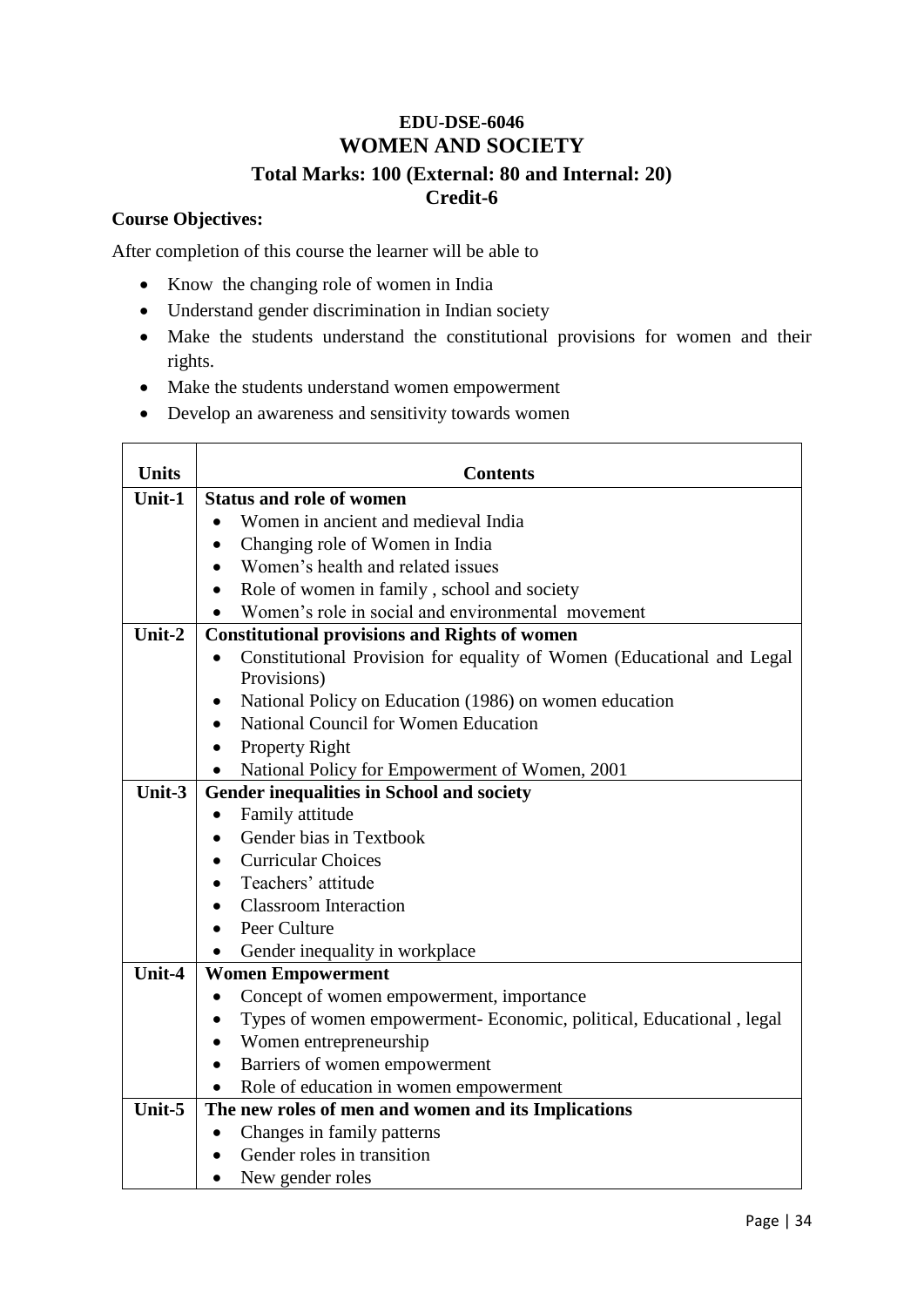### **EDU-DSE-6046 WOMEN AND SOCIETY Total Marks: 100 (External: 80 and Internal: 20) Credit-6**

### **Course Objectives:**

After completion of this course the learner will be able to

- Know the changing role of women in India
- Understand gender discrimination in Indian society
- Make the students understand the constitutional provisions for women and their rights.
- Make the students understand women empowerment
- Develop an awareness and sensitivity towards women

| <b>Units</b> | <b>Contents</b>                                                                  |
|--------------|----------------------------------------------------------------------------------|
| Unit-1       | <b>Status and role of women</b>                                                  |
|              | Women in ancient and medieval India                                              |
|              | Changing role of Women in India<br>$\bullet$                                     |
|              | Women's health and related issues                                                |
|              | Role of women in family, school and society                                      |
|              | Women's role in social and environmental movement                                |
| Unit-2       | <b>Constitutional provisions and Rights of women</b>                             |
|              | Constitutional Provision for equality of Women (Educational and Legal            |
|              | Provisions)                                                                      |
|              | National Policy on Education (1986) on women education<br>$\bullet$              |
|              | National Council for Women Education<br>$\bullet$                                |
|              | <b>Property Right</b><br>$\bullet$                                               |
|              | National Policy for Empowerment of Women, 2001                                   |
| Unit-3       | Gender inequalities in School and society                                        |
|              | Family attitude<br>$\bullet$                                                     |
|              | Gender bias in Textbook                                                          |
|              | <b>Curricular Choices</b>                                                        |
|              | Teachers' attitude                                                               |
|              | <b>Classroom</b> Interaction                                                     |
|              | Peer Culture                                                                     |
|              | Gender inequality in workplace                                                   |
| Unit-4       | <b>Women Empowerment</b>                                                         |
|              | Concept of women empowerment, importance<br>$\bullet$                            |
|              | Types of women empowerment- Economic, political, Educational, legal<br>$\bullet$ |
|              | Women entrepreneurship<br>$\bullet$                                              |
|              | Barriers of women empowerment<br>$\bullet$                                       |
|              | Role of education in women empowerment                                           |
| Unit-5       | The new roles of men and women and its Implications                              |
|              | Changes in family patterns<br>$\bullet$                                          |
|              | Gender roles in transition                                                       |
|              | New gender roles                                                                 |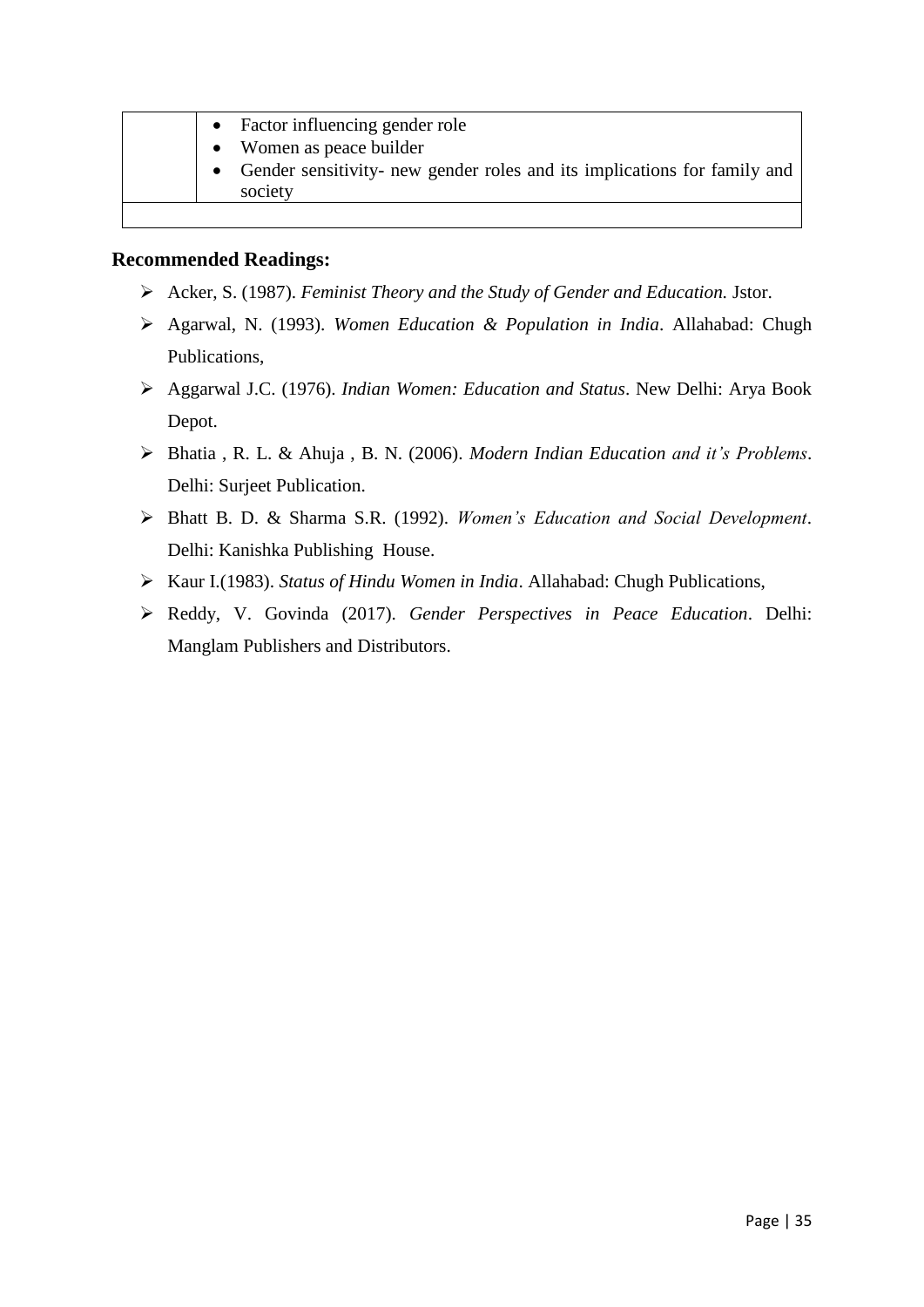| Factor influencing gender role                                                        |
|---------------------------------------------------------------------------------------|
| • Women as peace builder                                                              |
| • Gender sensitivity- new gender roles and its implications for family and<br>society |

- Acker, S. (1987). *Feminist Theory and the Study of Gender and Education.* Jstor.
- Agarwal, N. (1993). *Women Education & Population in India*. Allahabad: Chugh Publications,
- Aggarwal J.C. (1976). *Indian Women: Education and Status*. New Delhi: Arya Book Depot.
- Bhatia , R. L. & Ahuja , B. N. (2006). *Modern Indian Education and it's Problems*. Delhi: Surjeet Publication.
- Bhatt B. D. & Sharma S.R. (1992). *Women's Education and Social Development*. Delhi: Kanishka Publishing House.
- Kaur I.(1983). *Status of Hindu Women in India*. Allahabad: Chugh Publications,
- Reddy, V. Govinda (2017). *Gender Perspectives in Peace Education*. Delhi: Manglam Publishers and Distributors.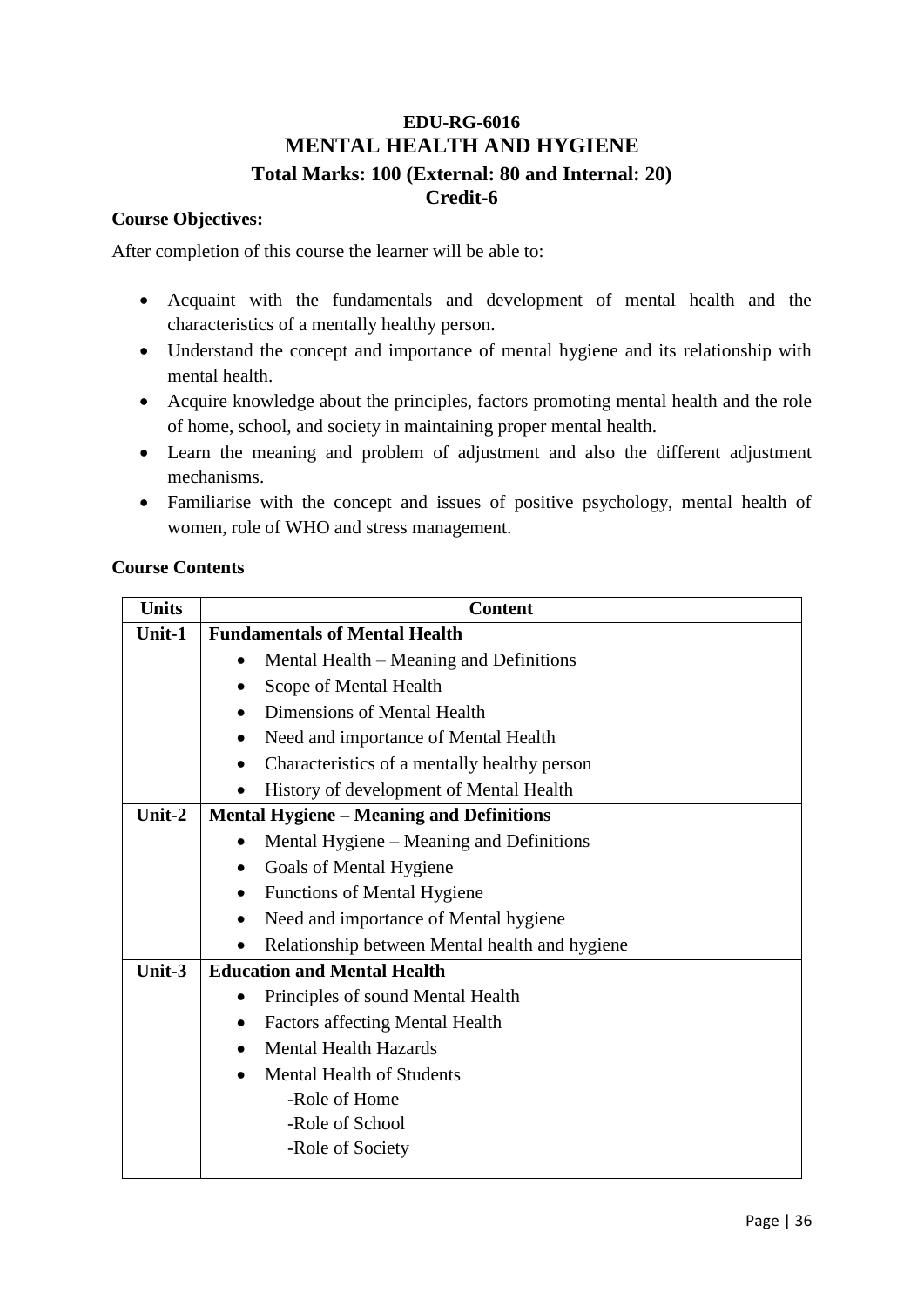### **EDU-RG-6016 MENTAL HEALTH AND HYGIENE Total Marks: 100 (External: 80 and Internal: 20) Credit-6**

### **Course Objectives:**

After completion of this course the learner will be able to:

- Acquaint with the fundamentals and development of mental health and the characteristics of a mentally healthy person.
- Understand the concept and importance of mental hygiene and its relationship with mental health.
- Acquire knowledge about the principles, factors promoting mental health and the role of home, school, and society in maintaining proper mental health.
- Learn the meaning and problem of adjustment and also the different adjustment mechanisms.
- Familiarise with the concept and issues of positive psychology, mental health of women, role of WHO and stress management.

| <b>Units</b> | <b>Content</b>                                  |
|--------------|-------------------------------------------------|
| Unit-1       | <b>Fundamentals of Mental Health</b>            |
|              | Mental Health – Meaning and Definitions         |
|              | Scope of Mental Health                          |
|              | Dimensions of Mental Health                     |
|              | Need and importance of Mental Health            |
|              | Characteristics of a mentally healthy person    |
|              | History of development of Mental Health         |
| Unit- $2$    | <b>Mental Hygiene – Meaning and Definitions</b> |
|              | Mental Hygiene – Meaning and Definitions        |
|              | Goals of Mental Hygiene                         |
|              | <b>Functions of Mental Hygiene</b><br>$\bullet$ |
|              | Need and importance of Mental hygiene           |
|              | Relationship between Mental health and hygiene  |
| Unit-3       | <b>Education and Mental Health</b>              |
|              | Principles of sound Mental Health               |
|              | <b>Factors affecting Mental Health</b>          |
|              | <b>Mental Health Hazards</b><br>$\bullet$       |
|              | <b>Mental Health of Students</b>                |
|              | -Role of Home                                   |
|              | -Role of School                                 |
|              | -Role of Society                                |
|              |                                                 |

### **Course Contents**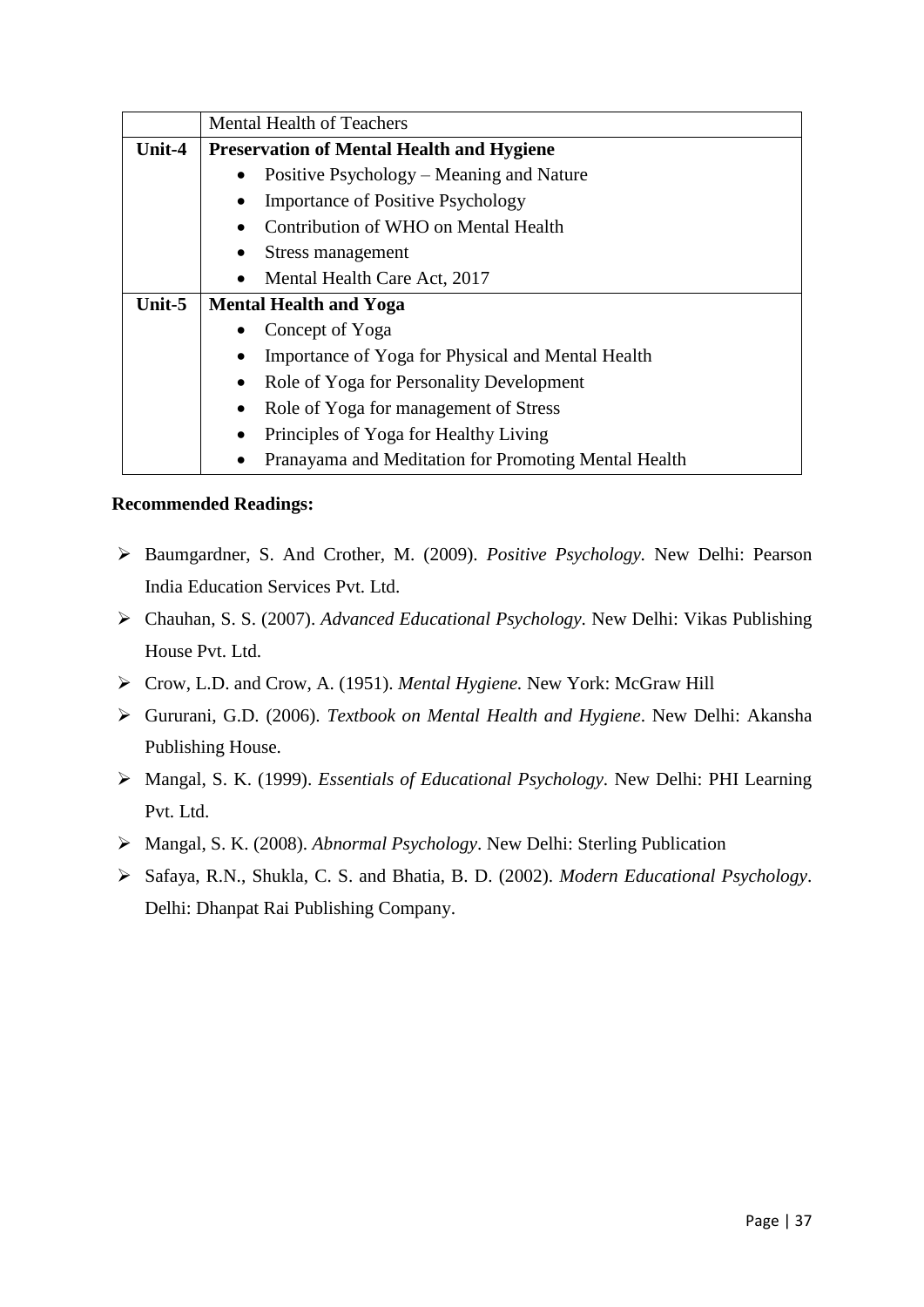|        | <b>Mental Health of Teachers</b>                     |
|--------|------------------------------------------------------|
| Unit-4 | <b>Preservation of Mental Health and Hygiene</b>     |
|        | Positive Psychology – Meaning and Nature             |
|        | <b>Importance of Positive Psychology</b>             |
|        | Contribution of WHO on Mental Health                 |
|        | Stress management                                    |
|        | Mental Health Care Act, 2017                         |
| Unit-5 | <b>Mental Health and Yoga</b>                        |
|        | Concept of Yoga                                      |
|        | Importance of Yoga for Physical and Mental Health    |
|        | Role of Yoga for Personality Development             |
|        | Role of Yoga for management of Stress                |
|        | Principles of Yoga for Healthy Living                |
|        | Pranayama and Meditation for Promoting Mental Health |

- Baumgardner, S. And Crother, M. (2009). *Positive Psychology.* New Delhi: Pearson India Education Services Pvt. Ltd.
- Chauhan, S. S. (2007). *Advanced Educational Psychology.* New Delhi: Vikas Publishing House Pvt. Ltd.
- Crow, L.D. and Crow, A. (1951). *Mental Hygiene.* New York: McGraw Hill
- Gururani, G.D. (2006). *Textbook on Mental Health and Hygiene*. New Delhi: Akansha Publishing House.
- Mangal, S. K. (1999). *Essentials of Educational Psychology.* New Delhi: PHI Learning Pvt. Ltd.
- Mangal, S. K. (2008). *Abnormal Psychology*. New Delhi: Sterling Publication
- Safaya, R.N., Shukla, C. S. and Bhatia, B. D. (2002). *Modern Educational Psychology*. Delhi: Dhanpat Rai Publishing Company.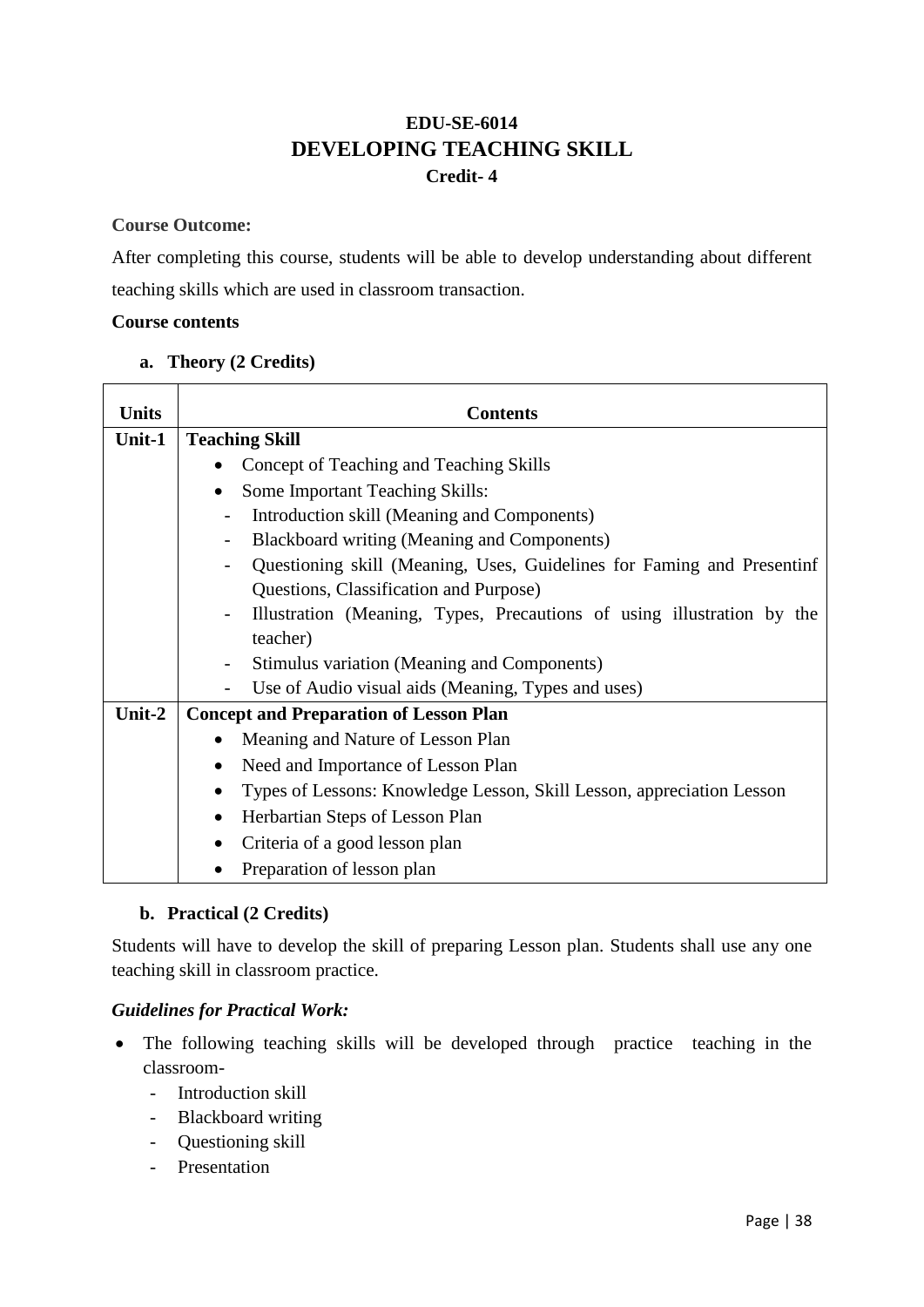### **EDU-SE-6014 DEVELOPING TEACHING SKILL Credit- 4**

### **Course Outcome:**

After completing this course, students will be able to develop understanding about different teaching skills which are used in classroom transaction.

### **Course contents**

### **a. Theory (2 Credits)**

| <b>Units</b> | <b>Contents</b>                                                        |
|--------------|------------------------------------------------------------------------|
| Unit-1       | <b>Teaching Skill</b>                                                  |
|              | Concept of Teaching and Teaching Skills                                |
|              | Some Important Teaching Skills:<br>$\bullet$                           |
|              | Introduction skill (Meaning and Components)                            |
|              | Blackboard writing (Meaning and Components)                            |
|              | Questioning skill (Meaning, Uses, Guidelines for Faming and Presentinf |
|              | Questions, Classification and Purpose)                                 |
|              | Illustration (Meaning, Types, Precautions of using illustration by the |
|              | teacher)                                                               |
|              | Stimulus variation (Meaning and Components)                            |
|              | Use of Audio visual aids (Meaning, Types and uses)                     |
| Unit-2       | <b>Concept and Preparation of Lesson Plan</b>                          |
|              | Meaning and Nature of Lesson Plan                                      |
|              | Need and Importance of Lesson Plan                                     |
|              | Types of Lessons: Knowledge Lesson, Skill Lesson, appreciation Lesson  |
|              | Herbartian Steps of Lesson Plan                                        |
|              | Criteria of a good lesson plan                                         |
|              | Preparation of lesson plan                                             |

### **b. Practical (2 Credits)**

Students will have to develop the skill of preparing Lesson plan. Students shall use any one teaching skill in classroom practice.

### *Guidelines for Practical Work:*

- The following teaching skills will be developed through practice teaching in the classroom-
	- Introduction skill
	- Blackboard writing
	- Questioning skill
	- Presentation